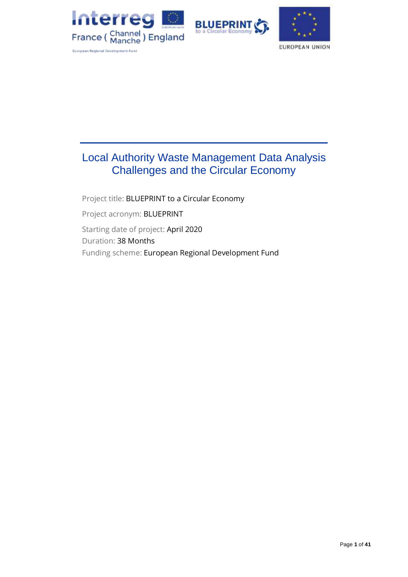





# Local Authority Waste Management Data Analysis Challenges and the Circular Economy

Project title: BLUEPRINT to a Circular Economy Project acronym: BLUEPRINT Starting date of project: April 2020 Duration: 38 Months Funding scheme: European Regional Development Fund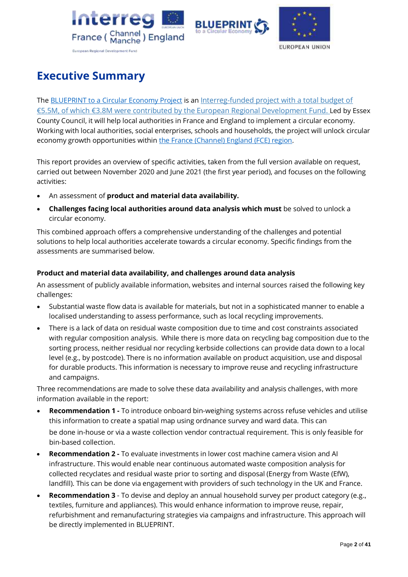





# <span id="page-1-0"></span>**Executive Summary**

Th[e BLUEPRINT to a Circular Economy](https://projectblueprint.eu/) Project is an Interreg-funded project with a total budget of €5.5M, of which €3.8M were contributed by [the European Regional Development Fund.](https://www.channelmanche.com/en/projects/approved-projects/blueprint-to-a-circular-economy/) Led by Essex County Council, it will help local authorities in France and England to implement a circular economy. Working with local authorities, social enterprises, schools and households, the project will unlock circular economy growth opportunities within [the France \(Channel\)](https://www.channelmanche.com/en/programme/eligible-area/) England (FCE) region.

This report provides an overview of specific activities, taken from the full version available on request, carried out between November 2020 and June 2021 (the first year period), and focuses on the following activities:

- An assessment of **product and material data availability.**
- **Challenges facing local authorities around data analysis which must** be solved to unlock a circular economy.

This combined approach offers a comprehensive understanding of the challenges and potential solutions to help local authorities accelerate towards a circular economy. Specific findings from the assessments are summarised below.

### **Product and material data availability, and challenges around data analysis**

An assessment of publicly available information, websites and internal sources raised the following key challenges:

- Substantial waste flow data is available for materials, but not in a sophisticated manner to enable a localised understanding to assess performance, such as local recycling improvements.
- There is a lack of data on residual waste composition due to time and cost constraints associated with regular composition analysis. While there is more data on recycling bag composition due to the sorting process, neither residual nor recycling kerbside collections can provide data down to a local level (e.g., by postcode). There is no information available on product acquisition, use and disposal for durable products. This information is necessary to improve reuse and recycling infrastructure and campaigns.

Three recommendations are made to solve these data availability and analysis challenges, with more information available in the report:

- **Recommendation 1 -** To introduce onboard bin-weighing systems across refuse vehicles and utilise this information to create a spatial map using ordnance survey and ward data. This can be done in-house or via a waste collection vendor contractual requirement. This is only feasible for bin-based collection.
- **Recommendation 2 -** To evaluate investments in lower cost machine camera vision and AI infrastructure. This would enable near continuous automated waste composition analysis for collected recyclates and residual waste prior to sorting and disposal (Energy from Waste (EfW), landfill). This can be done via engagement with providers of such technology in the UK and France.
- **Recommendation 3** To devise and deploy an annual household survey per product category (e.g., textiles, furniture and appliances). This would enhance information to improve reuse, repair, refurbishment and remanufacturing strategies via campaigns and infrastructure. This approach will be directly implemented in BLUEPRINT.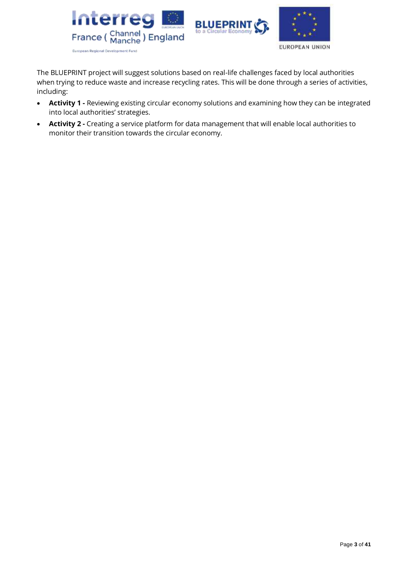

The BLUEPRINT project will suggest solutions based on real-life challenges faced by local authorities when trying to reduce waste and increase recycling rates. This will be done through a series of activities, including:

- **Activity 1 -** Reviewing existing circular economy solutions and examining how they can be integrated into local authorities' strategies.
- **Activity 2 -** Creating a service platform for data management that will enable local authorities to monitor their transition towards the circular economy.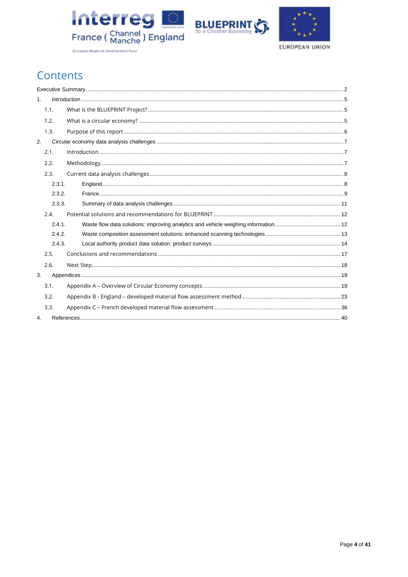





Contents

| 1. |        |  |
|----|--------|--|
|    | 1.1.   |  |
|    | 1.2.   |  |
|    | 1.3.   |  |
| 2. |        |  |
|    | 2.1.   |  |
|    | 2.2.   |  |
|    | 2.3.   |  |
|    | 2.3.1. |  |
|    | 2.3.2. |  |
|    | 2.3.3. |  |
|    | 2.4.   |  |
|    | 2.4.1. |  |
|    | 2.4.2. |  |
|    | 2.4.3. |  |
|    | 2.5.   |  |
|    | 2.6.   |  |
| 3. |        |  |
|    | 3.1.   |  |
|    | 3.2.   |  |
|    | 3.3.   |  |
| 4. |        |  |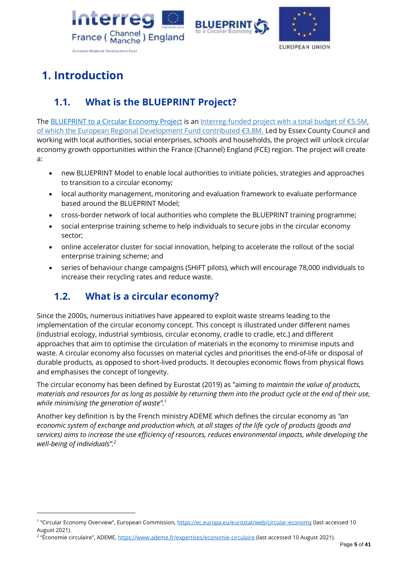





# <span id="page-4-0"></span>**1. Introduction**

# <span id="page-4-1"></span>**1.1. What is the BLUEPRINT Project?**

Th[e BLUEPRINT to a Circular Economy](https://projectblueprint.eu/) Project is an Interreg-[funded project with a total budget of €5.](https://www.channelmanche.com/en/projects/approved-projects/blueprint-to-a-circular-economy/)5M, [of which the European Regional Development Fund contributed €3.8M.](https://www.channelmanche.com/en/projects/approved-projects/blueprint-to-a-circular-economy/) Led by Essex County Council and working with local authorities, social enterprises, schools and households, the project will unlock circular economy growth opportunities within the France (Channel) England (FCE) region. The project will create a:

- new BLUEPRINT Model to enable local authorities to initiate policies, strategies and approaches to transition to a circular economy;
- local authority management, monitoring and evaluation framework to evaluate performance based around the BLUEPRINT Model;
- cross-border network of local authorities who complete the BLUEPRINT training programme;
- social enterprise training scheme to help individuals to secure jobs in the circular economy sector;
- online accelerator cluster for social innovation, helping to accelerate the rollout of the social enterprise training scheme; and
- series of behaviour change campaigns (SHIFT pilots), which will encourage 78,000 individuals to increase their recycling rates and reduce waste.

# <span id="page-4-2"></span>**1.2. What is a circular economy?**

Since the 2000s, numerous initiatives have appeared to exploit waste streams leading to the implementation of the circular economy concept. This concept is illustrated under different names (industrial ecology, industrial symbiosis, circular economy, cradle to cradle, etc.) and different approaches that aim to optimise the circulation of materials in the economy to minimise inputs and waste. A circular economy also focusses on material cycles and prioritises the end-of-life or disposal of durable products, as opposed to short-lived products. It decouples economic flows from physical flows and emphasises the concept of longevity.

The circular economy has been defined by Eurostat (2019) as "aiming *to maintain the value of products, materials and resources for as long as possible by returning them into the product cycle at the end of their use, while minimising the generation of waste". 1*

Another key definition is by the French ministry ADEME which defines the circular economy as *"an economic system of exchange and production which, at all stages of the life cycle of products (goods and services) aims to increase the use efficiency of resources, reduces environmental impacts, while developing the well-being of individuals". 2*

<sup>&</sup>lt;sup>1</sup> "Circular Economy Overview", European Commission,<https://ec.europa.eu/eurostat/web/circular-economy> (last accessed 10 August 2021).

<sup>&</sup>lt;sup>2</sup> "Économie circulaire", ADEME, <u><https://www.ademe.fr/expertises/economie-circulaire></u> (last accessed 10 August 2021).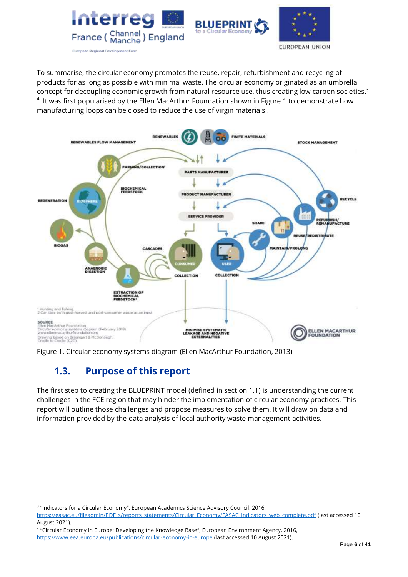





To summarise, the circular economy promotes the reuse, repair, refurbishment and recycling of products for as long as possible with minimal waste. The circular economy originated as an umbrella concept for decoupling economic growth from natural resource use, thus creating low carbon societies. 3  $4$  It was first popularised by the Ellen MacArthur Foundation shown in Figure 1 to demonstrate how manufacturing loops can be closed to reduce the use of virgin materials .



<span id="page-5-0"></span>Figure 1. Circular economy systems diagram (Ellen MacArthur Foundation, 2013)

# **1.3. Purpose of this report**

The first step to creating the BLUEPRINT model (defined in section 1.1) is understanding the current challenges in the FCE region that may hinder the implementation of circular economy practices. This report will outline those challenges and propose measures to solve them. It will draw on data and information provided by the data analysis of local authority waste management activities.

<sup>&</sup>lt;sup>3</sup> "Indicators for a Circular Economy", European Academics Science Advisory Council, 2016,

[https://easac.eu/fileadmin/PDF\\_s/reports\\_statements/Circular\\_Economy/EASAC\\_Indicators\\_web\\_complete.pdf](https://easac.eu/fileadmin/PDF_s/reports_statements/Circular_Economy/EASAC_Indicators_web_complete.pdf) (last accessed 10 August 2021).

<sup>4</sup> "Circular Economy in Europe: Developing the Knowledge Base", European Environment Agency, 2016, <https://www.eea.europa.eu/publications/circular-economy-in-europe> (last accessed 10 August 2021).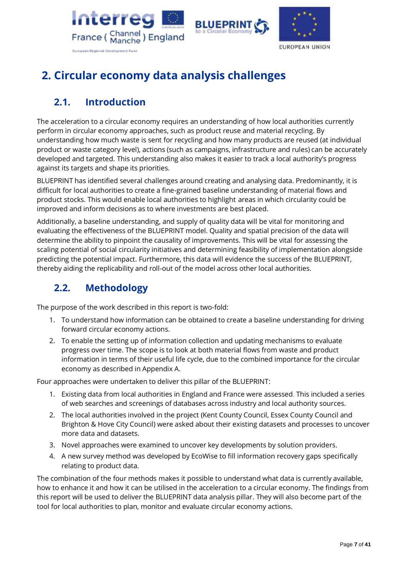





# <span id="page-6-0"></span>**2. Circular economy data analysis challenges**

# <span id="page-6-1"></span>**2.1. Introduction**

The acceleration to a circular economy requires an understanding of how local authorities currently perform in circular economy approaches, such as product reuse and material recycling. By understanding how much waste is sent for recycling and how many products are reused (at individual product or waste category level), actions (such as campaigns, infrastructure and rules) can be accurately developed and targeted. This understanding also makes it easier to track a local authority's progress against its targets and shape its priorities.

BLUEPRINT has identified several challenges around creating and analysing data. Predominantly, it is difficult for local authorities to create a fine-grained baseline understanding of material flows and product stocks. This would enable local authorities to highlight areas in which circularity could be improved and inform decisions as to where investments are best placed.

Additionally, a baseline understanding, and supply of quality data will be vital for monitoring and evaluating the effectiveness of the BLUEPRINT model. Quality and spatial precision of the data will determine the ability to pinpoint the causality of improvements. This will be vital for assessing the scaling potential of social circularity initiatives and determining feasibility of implementation alongside predicting the potential impact. Furthermore, this data will evidence the success of the BLUEPRINT, thereby aiding the replicability and roll-out of the model across other local authorities.

# <span id="page-6-2"></span>**2.2. Methodology**

The purpose of the work described in this report is two-fold:

- 1. To understand how information can be obtained to create a baseline understanding for driving forward circular economy actions.
- 2. To enable the setting up of information collection and updating mechanisms to evaluate progress over time. The scope is to look at both material flows from waste and product information in terms of their useful life cycle, due to the combined importance for the circular economy as described in Appendix A.

Four approaches were undertaken to deliver this pillar of the BLUEPRINT:

- 1. Existing data from local authorities in England and France were assessed. This included a series of web searches and screenings of databases across industry and local authority sources.
- 2. The local authorities involved in the project (Kent County Council, Essex County Council and Brighton & Hove City Council) were asked about their existing datasets and processes to uncover more data and datasets.
- 3. Novel approaches were examined to uncover key developments by solution providers.
- 4. A new survey method was developed by EcoWise to fill information recovery gaps specifically relating to product data.

The combination of the four methods makes it possible to understand what data is currently available, how to enhance it and how it can be utilised in the acceleration to a circular economy. The findings from this report will be used to deliver the BLUEPRINT data analysis pillar. They will also become part of the tool for local authorities to plan, monitor and evaluate circular economy actions.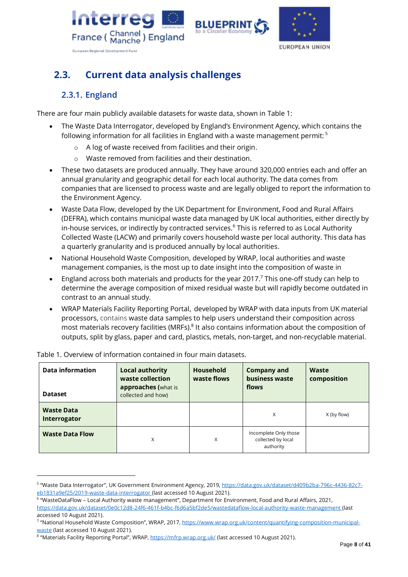





# <span id="page-7-0"></span>**2.3. Current data analysis challenges**

# **2.3.1. England**

<span id="page-7-1"></span>There are four main publicly available datasets for waste data, shown in Table 1:

- The Waste Data Interrogator, developed by England's Environment Agency, which contains the following information for all facilities in England with a waste management permit: <sup>5</sup>
	- o A log of waste received from facilities and their origin.
	- o Waste removed from facilities and their destination.
- These two datasets are produced annually. They have around 320,000 entries each and offer an annual granularity and geographic detail for each local authority. The data comes from companies that are licensed to process waste and are legally obliged to report the information to the Environment Agency.
- Waste Data Flow, developed by the UK Department for Environment, Food and Rural Affairs (DEFRA), which contains municipal waste data managed by UK local authorities, either directly by in-house services, or indirectly by contracted services. $6$  This is referred to as Local Authority Collected Waste (LACW) and primarily covers household waste per local authority. This data has a quarterly granularity and is produced annually by local authorities.
- National Household Waste Composition, developed by WRAP, local authorities and waste management companies, is the most up to date insight into the composition of waste in
- England across both materials and products for the year 2017.<sup>7</sup> This one-off study can help to determine the average composition of mixed residual waste but will rapidly become outdated in contrast to an annual study.
- WRAP Materials Facility Reporting Portal, developed by WRAP with data inputs from UK material processors, contains waste data samples to help users understand their composition across most materials recovery facilities (MRFs).<sup>8</sup> It also contains information about the composition of outputs, split by glass, paper and card, plastics, metals, non-target, and non-recyclable material.

| <b>Data information</b><br><b>Dataset</b> | <b>Local authority</b><br>waste collection<br>approaches (what is<br>collected and how) | <b>Household</b><br>waste flows | <b>Company and</b><br>business waste<br>flows            | Waste<br>composition |
|-------------------------------------------|-----------------------------------------------------------------------------------------|---------------------------------|----------------------------------------------------------|----------------------|
| <b>Waste Data</b><br>Interrogator         |                                                                                         |                                 | X                                                        | X (by flow)          |
| <b>Waste Data Flow</b>                    | X                                                                                       | X                               | Incomplete Only those<br>collected by local<br>authority |                      |

Table 1. Overview of information contained in four main datasets.

<sup>&</sup>lt;sup>5</sup> "Waste Data Interrogator", UK Government Environment Agency, 2019, <u>https://data.gov.uk/dataset/d409b2ba-796c-4436-82c7-</u> [eb1831a9ef25/2019-waste-data-interrogator](https://data.gov.uk/dataset/d409b2ba-796c-4436-82c7-eb1831a9ef25/2019-waste-data-interrogator) (last accessed 10 August 2021).

<sup>6</sup> "WasteDataFlow – Local Authority waste management", Department for Environment, Food and Rural Affairs, 2021, <https://data.gov.uk/dataset/0e0c12d8-24f6-461f-b4bc-f6d6a5bf2de5/wastedataflow-local-authority-waste-management> (last accessed 10 August 2021).

<sup>&</sup>lt;sup>7</sup> "National Household Waste Composition", WRAP, 2017, <u>https://www.wrap.org.uk/content/quantifying-composition-municipal-</u> [waste](https://www.wrap.org.uk/content/quantifying-composition-municipal-waste) (last accessed 10 August 2021).

<sup>&</sup>lt;sup>8</sup> "Materials Facility Reporting Portal", WRAP, <https://mfrp.wrap.org.uk/> (last accessed 10 August 2021).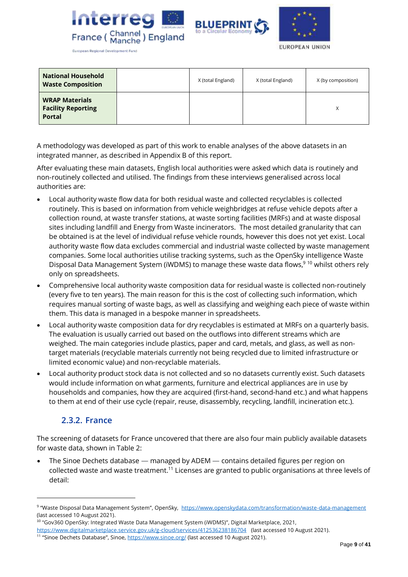





**European Regional Development Fund** 

| <b>National Household</b><br><b>Waste Composition</b>               | X (total England) | X (total England) | X (by composition) |
|---------------------------------------------------------------------|-------------------|-------------------|--------------------|
| <b>WRAP Materials</b><br><b>Facility Reporting</b><br><b>Portal</b> |                   |                   | X                  |

A methodology was developed as part of this work to enable analyses of the above datasets in an integrated manner, as described in Appendix B of this report.

After evaluating these main datasets, English local authorities were asked which data is routinely and non-routinely collected and utilised. The findings from these interviews generalised across local authorities are:

- Local authority waste flow data for both residual waste and collected recyclables is collected routinely. This is based on information from vehicle weighbridges at refuse vehicle depots after a collection round, at waste transfer stations, at waste sorting facilities (MRFs) and at waste disposal sites including landfill and Energy from Waste incinerators. The most detailed granularity that can be obtained is at the level of individual refuse vehicle rounds, however this does not yet exist. Local authority waste flow data excludes commercial and industrial waste collected by waste management companies. Some local authorities utilise tracking systems, such as the OpenSky intelligence Waste Disposal Data Management System (iWDMS) to manage these waste data flows,<sup>9 10</sup> whilst others rely only on spreadsheets.
- Comprehensive local authority waste composition data for residual waste is collected non-routinely (every five to ten years). The main reason for this is the cost of collecting such information, which requires manual sorting of waste bags, as well as classifying and weighing each piece of waste within them. This data is managed in a bespoke manner in spreadsheets.
- Local authority waste composition data for dry recyclables is estimated at MRFs on a quarterly basis. The evaluation is usually carried out based on the outflows into different streams which are weighed. The main categories include plastics, paper and card, metals, and glass, as well as nontarget materials (recyclable materials currently not being recycled due to limited infrastructure or limited economic value) and non-recyclable materials.
- Local authority product stock data is not collected and so no datasets currently exist. Such datasets would include information on what garments, furniture and electrical appliances are in use by households and companies, how they are acquired (first-hand, second-hand etc.) and what happens to them at end of their use cycle (repair, reuse, disassembly, recycling, landfill, incineration etc.).

### **2.3.2. France**

<span id="page-8-0"></span>The screening of datasets for France uncovered that there are also four main publicly available datasets for waste data, shown in Table 2:

• The Sinoe Dechets database — managed by ADEM — contains detailed figures per region on collected waste and waste treatment.<sup>11</sup> Licenses are granted to public organisations at three levels of detail:

<sup>9 &</sup>quot;Waste Disposal Data Management System", OpenSky, <https://www.openskydata.com/transformation/waste-data-management> (last accessed 10 August 2021).

<sup>10</sup> "Gov360 OpenSky: Integrated Waste Data Management System (iWDMS)", Digital Marketplace, 2021,

<https://www.digitalmarketplace.service.gov.uk/g-cloud/services/412536238186704>(last accessed 10 August 2021).

<sup>&</sup>lt;sup>11</sup> "Sinoe Dechets Database", Sinoe, <https://www.sinoe.org/> (last accessed 10 August 2021).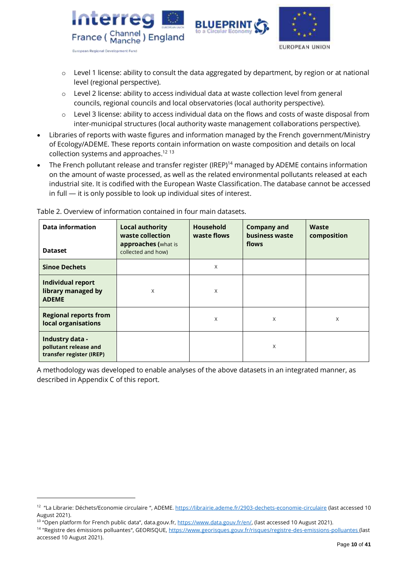



- $\circ$  Level 1 license: ability to consult the data aggregated by department, by region or at national level (regional perspective).
- o Level 2 license: ability to access individual data at waste collection level from general councils, regional councils and local observatories (local authority perspective).
- $\circ$  Level 3 license: ability to access individual data on the flows and costs of waste disposal from inter-municipal structures (local authority waste management collaborations perspective).
- Libraries of reports with waste figures and information managed by the French government/Ministry of Ecology/ADEME. These reports contain information on waste composition and details on local collection systems and approaches.<sup>12 13</sup>
- The French pollutant release and transfer register (IREP)<sup>14</sup> managed by ADEME contains information on the amount of waste processed, as well as the related environmental pollutants released at each industrial site. It is codified with the European Waste Classification. The database cannot be accessed in full — it is only possible to look up individual sites of interest.

| <b>Data information</b><br><b>Dataset</b>                            | <b>Local authority</b><br>waste collection<br>approaches (what is<br>collected and how) | <b>Household</b><br>waste flows | <b>Company and</b><br>business waste<br>flows | Waste<br>composition |
|----------------------------------------------------------------------|-----------------------------------------------------------------------------------------|---------------------------------|-----------------------------------------------|----------------------|
| <b>Sinoe Dechets</b>                                                 |                                                                                         | X                               |                                               |                      |
| <b>Individual report</b><br>library managed by<br><b>ADEME</b>       | X                                                                                       | X                               |                                               |                      |
| <b>Regional reports from</b><br>local organisations                  |                                                                                         | X                               | X                                             | X                    |
| Industry data -<br>pollutant release and<br>transfer register (IREP) |                                                                                         |                                 | X                                             |                      |

Table 2. Overview of information contained in four main datasets.

A methodology was developed to enable analyses of the above datasets in an integrated manner, as described in Appendix C of this report.

<sup>&</sup>lt;sup>12</sup> "La Librarie: Déchets/Economie circulaire ", ADEME. <https://librairie.ademe.fr/2903-dechets-economie-circulaire> (last accessed 10 August 2021).

<sup>&</sup>lt;sup>13</sup> "Open platform for French public data", data.gouv.fr, [https://www.data.gouv.fr/en/,](https://www.data.gouv.fr/en/) (last accessed 10 August 2021).

<sup>&</sup>lt;sup>14</sup> "Registre des émissions polluantes", GEORISQUE,<https://www.georisques.gouv.fr/risques/registre-des-emissions-polluantes> (last accessed 10 August 2021).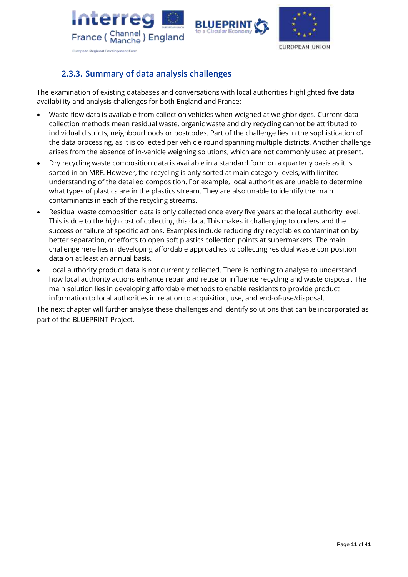





# **2.3.3. Summary of data analysis challenges**

<span id="page-10-0"></span>The examination of existing databases and conversations with local authorities highlighted five data availability and analysis challenges for both England and France:

- Waste flow data is available from collection vehicles when weighed at weighbridges. Current data collection methods mean residual waste, organic waste and dry recycling cannot be attributed to individual districts, neighbourhoods or postcodes. Part of the challenge lies in the sophistication of the data processing, as it is collected per vehicle round spanning multiple districts. Another challenge arises from the absence of in-vehicle weighing solutions, which are not commonly used at present.
- Dry recycling waste composition data is available in a standard form on a quarterly basis as it is sorted in an MRF. However, the recycling is only sorted at main category levels, with limited understanding of the detailed composition. For example, local authorities are unable to determine what types of plastics are in the plastics stream. They are also unable to identify the main contaminants in each of the recycling streams.
- Residual waste composition data is only collected once every five years at the local authority level. This is due to the high cost of collecting this data. This makes it challenging to understand the success or failure of specific actions. Examples include reducing dry recyclables contamination by better separation, or efforts to open soft plastics collection points at supermarkets. The main challenge here lies in developing affordable approaches to collecting residual waste composition data on at least an annual basis.
- Local authority product data is not currently collected. There is nothing to analyse to understand how local authority actions enhance repair and reuse or influence recycling and waste disposal. The main solution lies in developing affordable methods to enable residents to provide product information to local authorities in relation to acquisition, use, and end-of-use/disposal.

The next chapter will further analyse these challenges and identify solutions that can be incorporated as part of the BLUEPRINT Project.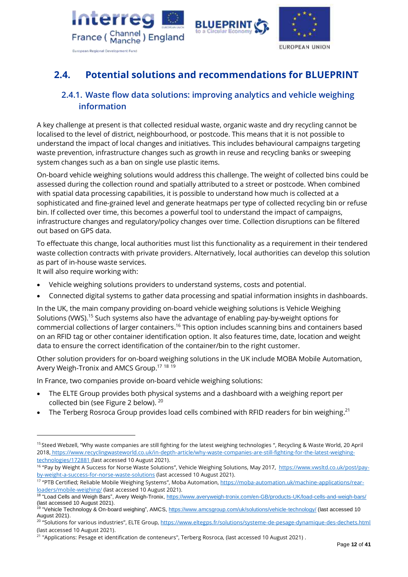





# <span id="page-11-0"></span>**2.4. Potential solutions and recommendations for BLUEPRINT**

### <span id="page-11-1"></span>**2.4.1. Waste flow data solutions: improving analytics and vehicle weighing information**

A key challenge at present is that collected residual waste, organic waste and dry recycling cannot be localised to the level of district, neighbourhood, or postcode. This means that it is not possible to understand the impact of local changes and initiatives. This includes behavioural campaigns targeting waste prevention, infrastructure changes such as growth in reuse and recycling banks or sweeping system changes such as a ban on single use plastic items.

On-board vehicle weighing solutions would address this challenge. The weight of collected bins could be assessed during the collection round and spatially attributed to a street or postcode. When combined with spatial data processing capabilities, it is possible to understand how much is collected at a sophisticated and fine-grained level and generate heatmaps per type of collected recycling bin or refuse bin. If collected over time, this becomes a powerful tool to understand the impact of campaigns, infrastructure changes and regulatory/policy changes over time. Collection disruptions can be filtered out based on GPS data.

To effectuate this change, local authorities must list this functionality as a requirement in their tendered waste collection contracts with private providers. Alternatively, local authorities can develop this solution as part of in-house waste services.

It will also require working with:

- Vehicle weighing solutions providers to understand systems, costs and potential.
- Connected digital systems to gather data processing and spatial information insights in dashboards.

In the UK, the main company providing on-board vehicle weighing solutions is Vehicle Weighing Solutions (VWS).<sup>15</sup> Such systems also have the advantage of enabling pay-by-weight options for commercial collections of larger containers.<sup>16</sup> This option includes scanning bins and containers based on an RFID tag or other container identification option. It also features time, date, location and weight data to ensure the correct identification of the container/bin to the right customer.

Other solution providers for on-board weighing solutions in the UK include MOBA Mobile Automation, Avery Weigh-Tronix and AMCS Group.<sup>17 18 19</sup>

In France, two companies provide on-board vehicle weighing solutions:

- The ELTE Group provides both physical systems and a dashboard with a weighing report per collected bin (see Figure 2 below). <sup>20</sup>
- The Terberg Rosroca Group provides load cells combined with RFID readers for bin weighing.<sup>21</sup>

<sup>&</sup>lt;sup>15</sup> Steed Webzell, "Why waste companies are still fighting for the latest weighing technologies ", Recycling & Waste World, 20 April 2018, https://www.recyclingwasteworld.co.uk/in-depth-article/why-waste-companies-are-still-fighting-for-the-latest-weighingtechnologies/172881 (last accessed 10 August 2021).

<sup>&</sup>lt;sup>16</sup> "Pay by Weight A Success for Norse Waste Solutions", Vehicle Weighing Solutions, May 2017, [https://www.vwsltd.co.uk/post/pay](https://www.vwsltd.co.uk/post/pay-by-weight-a-success-for-norse-waste-solutions)[by-weight-a-success-for-norse-waste-solutions](https://www.vwsltd.co.uk/post/pay-by-weight-a-success-for-norse-waste-solutions) (last accessed 10 August 2021).

<sup>&</sup>lt;sup>17</sup> "PTB Certified; Reliable Mobile Weighing Systems", Moba Automation, [https://moba-automation.uk/machine-applications/rear](https://moba-automation.uk/machine-applications/rear-loaders/mobile-weighing/)[loaders/mobile-weighing/](https://moba-automation.uk/machine-applications/rear-loaders/mobile-weighing/) (last accessed 10 August 2021).

<sup>&</sup>lt;sup>18</sup> "Load Cells and Weigh Bars", Avery Weigh-Tronix,<https://www.averyweigh-tronix.com/en-GB/products-UK/load-cells-and-weigh-bars/> (last accessed 10 August 2021).<br><sup>19</sup> "Vehicle Technology & On-board weighing", AMCS, <u>https://www.amcsgroup.com/uk/solutions/vehicle-technology/</u> (last accessed 10

August 2021).

<sup>&</sup>lt;sup>20</sup> "Solutions for various industries", ELTE Group[, https://www.eltegps.fr/solutions/systeme-de-pesage-dynamique-des-dechets.html](https://www.eltegps.fr/solutions/systeme-de-pesage-dynamique-des-dechets.html) (last accessed 10 August 2021).

<sup>21</sup> "Applications: Pesage et identification de conteneurs", Terberg Rosroca, (last accessed 10 August 2021) .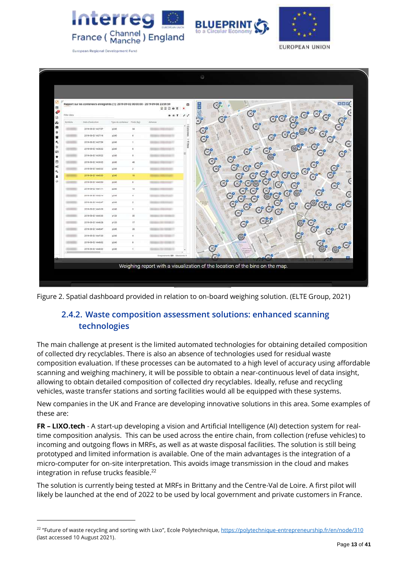





|                 |                      |      |                                 | Rapport sur les conteneurs enregistrés (1): 2019-09-02 00:00:00 - 2019-09-08 23:59:59<br>۰<br>REDOX | $C^{\circ}_{\sim}$<br><b>HEGRA</b> |                                              |                                                               | $s \mid s \mid z$                    |
|-----------------|----------------------|------|---------------------------------|-----------------------------------------------------------------------------------------------------|------------------------------------|----------------------------------------------|---------------------------------------------------------------|--------------------------------------|
| Filter data     |                      |      |                                 | <b>* * T</b><br>$\lambda$                                                                           | G                                  | $\mathbb{G}^{\circ}$                         | œ                                                             | $\mathbf{x}$<br><b>ROCK</b>          |
| <b>Dynticia</b> | Date d'autoution     |      | Type de sontaireur / Pords (kg) | Adjessé<br>m                                                                                        |                                    | ලං                                           |                                                               |                                      |
|                 | 2019-09-02 14:17:07  | p245 | 34                              | Color                                                                                               | $\mathfrak{S}^{\circ}$             |                                              |                                                               | z)                                   |
|                 | 3019-09-02 14:37:14  | p240 | ×                               |                                                                                                     | $\mathfrak{S}^{\circ}$             |                                              | ø                                                             |                                      |
|                 | 0210142-02143709     | 0240 | ¥                               | $= 0.15$ ront                                                                                       |                                    |                                              |                                                               |                                      |
|                 | 2019-00-02 14:00:32  | 6245 | ×                               |                                                                                                     | $\mathfrak{S}^{\circ}$             | $\mathbb{Z}^{\circ}$<br>$\mathbb{C}^{\circ}$ |                                                               | ⊙<br>$\odot^\circ$                   |
|                 | 2019-09-02 14:30:22  | 1245 | ×                               |                                                                                                     | $\odot^{\circ}$                    |                                              |                                                               | ල°                                   |
|                 | 2019-09-02 14:39:35  | 1440 | 48                              |                                                                                                     | $\odot^\circ$                      | $\mathcal{C}^{\circ}$                        |                                                               | $\mathfrak{S}^{\circ}$               |
|                 | 2010-09-02 14:40:22  | 6240 | $\mathbb{Z}$                    |                                                                                                     | $\odot^{\circ}$                    | $\mathfrak{S}^{\circ}$<br>$G^{\circ}$        |                                                               | $\mathfrak{S}^{\circ}$               |
|                 | 2019-08-02 14:40:33  | plat | 10                              |                                                                                                     |                                    | ×)<br>$\mathfrak{S}^{\circ}$                 | ☎<br>G)                                                       | <b>BOO</b><br>$\mathfrak{S}^{\circ}$ |
|                 | 02093-03-02 12:43:50 | p246 | ٠                               |                                                                                                     | $\mathfrak{S}^{\circ}$             | G<br>œ                                       | G<br>$\mathfrak{S}^{\circ}$                                   | O                                    |
|                 | 2019-09-02 Tale1/11  | 2245 | 13                              |                                                                                                     |                                    | ×)                                           | $\circledcirc^{\circ}$                                        | $\odot^{\circ}$                      |
|                 | 3019-00-02 14:42 14  | 240  | ×                               |                                                                                                     | $\mathbf{C}^{\prime}$              | Œ<br>x)                                      | $\circ$<br>Ø)                                                 |                                      |
|                 | 2019-09-02 14:42:47  | p240 | $\ddot{z}$                      |                                                                                                     | $\mathbb{G}^{\circ}$               | $\mathbb{C}^{\circ}$                         | $\widehat{\mathbb{Z}}^{\mathsf{e}}$<br>$\mathfrak{S}^{\circ}$ | ×                                    |
|                 | 2010-09-02 14:43:29  | 1040 | x                               |                                                                                                     |                                    | Z)<br>$\mathfrak{S}^{\circ}$                 | $\mathbb{Z}^0$                                                |                                      |
|                 | 2019-09-02 14:45:55  | p120 | B                               |                                                                                                     |                                    |                                              |                                                               |                                      |
|                 | 2019-08-02 14:46:28  | p120 | 17                              |                                                                                                     |                                    | ශ්රී<br>$\odot^{\circ}$                      |                                                               | So<br>So<br>මී                       |
|                 | 2019-09-22 14:46:47  | p245 | 28                              |                                                                                                     |                                    |                                              |                                                               | (x)                                  |
|                 | 3019-05-03 14:47-20  | 0.45 | $\ddot{\phantom{a}}$            |                                                                                                     |                                    | $\circledcirc^{\circ}$                       | $\mathbf{\hat{s}}$                                            |                                      |
|                 | 1010-00-02 14:40:02  | 6240 | ٠                               |                                                                                                     |                                    |                                              |                                                               |                                      |
|                 | 2019-06-02 14:48:32  | p240 | $\ddot{}$                       |                                                                                                     | ø                                  |                                              |                                                               |                                      |

<span id="page-12-0"></span>Figure 2. Spatial dashboard provided in relation to on-board weighing solution. (ELTE Group, 2021)

# **2.4.2. Waste composition assessment solutions: enhanced scanning technologies**

The main challenge at present is the limited automated technologies for obtaining detailed composition of collected dry recyclables. There is also an absence of technologies used for residual waste composition evaluation. If these processes can be automated to a high level of accuracy using affordable scanning and weighing machinery, it will be possible to obtain a near-continuous level of data insight, allowing to obtain detailed composition of collected dry recyclables. Ideally, refuse and recycling vehicles, waste transfer stations and sorting facilities would all be equipped with these systems.

New companies in the UK and France are developing innovative solutions in this area. Some examples of these are:

**FR – LIXO.tech** - A start-up developing a vision and Artificial Intelligence (AI) detection system for realtime composition analysis. This can be used across the entire chain, from collection (refuse vehicles) to incoming and outgoing flows in MRFs, as well as at waste disposal facilities. The solution is still being prototyped and limited information is available. One of the main advantages is the integration of a micro-computer for on-site interpretation. This avoids image transmission in the cloud and makes integration in refuse trucks feasible. 22

The solution is currently being tested at MRFs in Brittany and the Centre-Val de Loire. A first pilot will likely be launched at the end of 2022 to be used by local government and private customers in France.

<sup>&</sup>lt;sup>22</sup> "Future of waste recycling and sorting with Lixo", Ecole Polytechnique, <u>https://polytechnique-entrepreneurship.fr/en/node/310</u> (last accessed 10 August 2021).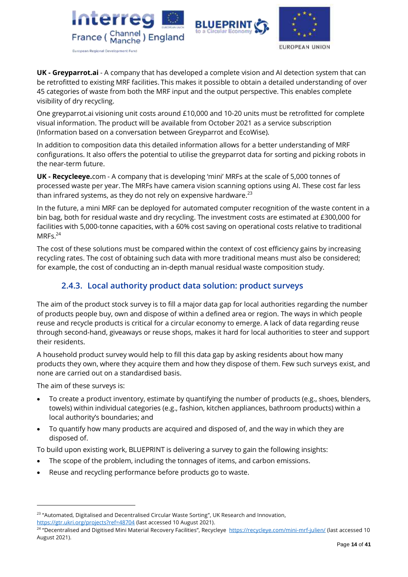





**UK - Greyparrot.ai** - A company that has developed a complete vision and AI detection system that can be retrofitted to existing MRF facilities. This makes it possible to obtain a detailed understanding of over 45 categories of waste from both the MRF input and the output perspective. This enables complete visibility of dry recycling.

One greyparrot.ai visioning unit costs around £10,000 and 10-20 units must be retrofitted for complete visual information. The product will be available from October 2021 as a service subscription (Information based on a conversation between Greyparrot and EcoWise).

In addition to composition data this detailed information allows for a better understanding of MRF configurations. It also offers the potential to utilise the greyparrot data for sorting and picking robots in the near-term future.

**UK - Recycleeye.**com - A company that is developing 'mini' MRFs at the scale of 5,000 tonnes of processed waste per year. The MRFs have camera vision scanning options using AI. These cost far less than infrared systems, as they do not rely on expensive hardware.<sup>23</sup>

In the future, a mini MRF can be deployed for automated computer recognition of the waste content in a bin bag, both for residual waste and dry recycling. The investment costs are estimated at £300,000 for facilities with 5,000-tonne capacities, with a 60% cost saving on operational costs relative to traditional MRFs. 24

The cost of these solutions must be compared within the context of cost efficiency gains by increasing recycling rates. The cost of obtaining such data with more traditional means must also be considered; for example, the cost of conducting an in-depth manual residual waste composition study.

### <span id="page-13-0"></span>**2.4.3. Local authority product data solution: product surveys**

The aim of the product stock survey is to fill a major data gap for local authorities regarding the number of products people buy, own and dispose of within a defined area or region. The ways in which people reuse and recycle products is critical for a circular economy to emerge. A lack of data regarding reuse through second-hand, giveaways or reuse shops, makes it hard for local authorities to steer and support their residents.

A household product survey would help to fill this data gap by asking residents about how many products they own, where they acquire them and how they dispose of them. Few such surveys exist, and none are carried out on a standardised basis.

The aim of these surveys is:

- To create a product inventory, estimate by quantifying the number of products (e.g., shoes, blenders, towels) within individual categories (e.g., fashion, kitchen appliances, bathroom products) within a local authority's boundaries; and
- To quantify how many products are acquired and disposed of, and the way in which they are disposed of.

To build upon existing work, BLUEPRINT is delivering a survey to gain the following insights:

- The scope of the problem, including the tonnages of items, and carbon emissions.
- Reuse and recycling performance before products go to waste.

 $^{23}$  "Automated, Digitalised and Decentralised Circular Waste Sorting", UK Research and Innovation, <https://gtr.ukri.org/projects?ref=48704> (last accessed 10 August 2021).

<sup>&</sup>lt;sup>24</sup> "Decentralised and Digitised Mini Material Recovery Facilities", Recycleye <u><https://recycleye.com/mini-mrf-julien/></u> (last accessed 10 August 2021).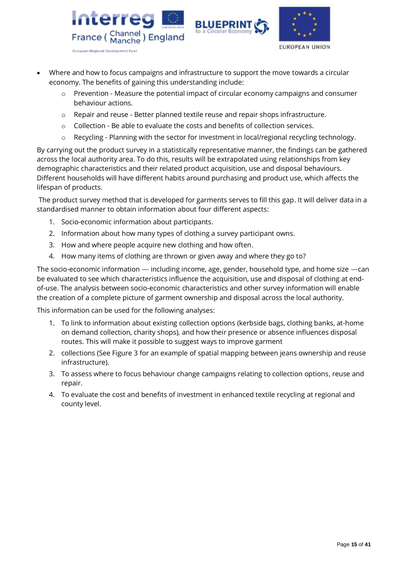





- Where and how to focus campaigns and infrastructure to support the move towards a circular economy. The benefits of gaining this understanding include:
	- o Prevention Measure the potential impact of circular economy campaigns and consumer behaviour actions.
	- o Repair and reuse Better planned textile reuse and repair shops infrastructure.
	- $\circ$  Collection Be able to evaluate the costs and benefits of collection services.
	- $\circ$  Recycling Planning with the sector for investment in local/regional recycling technology.

By carrying out the product survey in a statistically representative manner, the findings can be gathered across the local authority area. To do this, results will be extrapolated using relationships from key demographic characteristics and their related product acquisition, use and disposal behaviours. Different households will have different habits around purchasing and product use, which affects the lifespan of products.

The product survey method that is developed for garments serves to fill this gap. It will deliver data in a standardised manner to obtain information about four different aspects:

- 1. Socio-economic information about participants.
- 2. Information about how many types of clothing a survey participant owns.
- 3. How and where people acquire new clothing and how often.
- 4. How many items of clothing are thrown or given away and where they go to?

The socio-economic information — including income, age, gender, household type, and home size —can be evaluated to see which characteristics influence the acquisition, use and disposal of clothing at endof-use. The analysis between socio-economic characteristics and other survey information will enable the creation of a complete picture of garment ownership and disposal across the local authority.

This information can be used for the following analyses:

- 1. To link to information about existing collection options (kerbside bags, clothing banks, at-home on demand collection, charity shops), and how their presence or absence influences disposal routes. This will make it possible to suggest ways to improve garment
- 2. collections (See Figure 3 for an example of spatial mapping between jeans ownership and reuse infrastructure).
- 3. To assess where to focus behaviour change campaigns relating to collection options, reuse and repair.
- 4. To evaluate the cost and benefits of investment in enhanced textile recycling at regional and county level.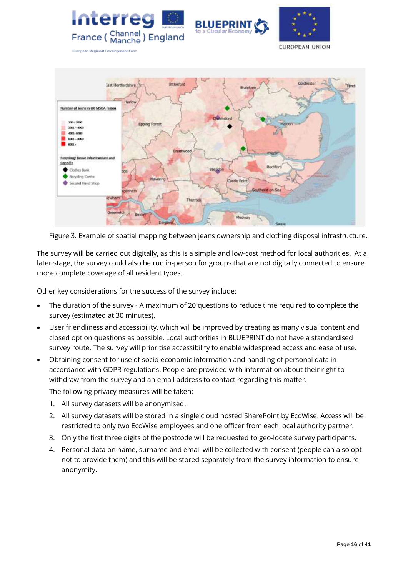





**European Regional Development Fund** 



Figure 3. Example of spatial mapping between jeans ownership and clothing disposal infrastructure.

The survey will be carried out digitally, as this is a simple and low-cost method for local authorities. At a later stage, the survey could also be run in-person for groups that are not digitally connected to ensure more complete coverage of all resident types.

Other key considerations for the success of the survey include:

- The duration of the survey A maximum of 20 questions to reduce time required to complete the survey (estimated at 30 minutes).
- User friendliness and accessibility, which will be improved by creating as many visual content and closed option questions as possible. Local authorities in BLUEPRINT do not have a standardised survey route. The survey will prioritise accessibility to enable widespread access and ease of use.
- Obtaining consent for use of socio-economic information and handling of personal data in accordance with GDPR regulations. People are provided with information about their right to withdraw from the survey and an email address to contact regarding this matter.

The following privacy measures will be taken:

- 1. All survey datasets will be anonymised.
- 2. All survey datasets will be stored in a single cloud hosted SharePoint by EcoWise. Access will be restricted to only two EcoWise employees and one officer from each local authority partner.
- 3. Only the first three digits of the postcode will be requested to geo-locate survey participants.
- 4. Personal data on name, surname and email will be collected with consent (people can also opt not to provide them) and this will be stored separately from the survey information to ensure anonymity.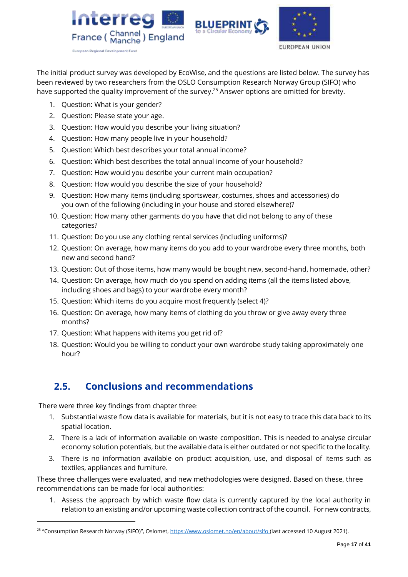





The initial product survey was developed by EcoWise, and the questions are listed below. The survey has been reviewed by two researchers from the OSLO Consumption Research Norway Group (SIFO) who have supported the quality improvement of the survey.<sup>25</sup> Answer options are omitted for brevity.

- 1. Question: What is your gender?
- 2. Question: Please state your age.
- 3. Question: How would you describe your living situation?
- 4. Question: How many people live in your household?
- 5. Question: Which best describes your total annual income?
- 6. Question: Which best describes the total annual income of your household?
- 7. Question: How would you describe your current main occupation?
- 8. Question: How would you describe the size of your household?
- 9. Question: How many items (including sportswear, costumes, shoes and accessories) do you own of the following (including in your house and stored elsewhere)?
- 10. Question: How many other garments do you have that did not belong to any of these categories?
- 11. Question: Do you use any clothing rental services (including uniforms)?
- 12. Question: On average, how many items do you add to your wardrobe every three months, both new and second hand?
- 13. Question: Out of those items, how many would be bought new, second-hand, homemade, other?
- 14. Question: On average, how much do you spend on adding items (all the items listed above, including shoes and bags) to your wardrobe every month?
- 15. Question: Which items do you acquire most frequently (select 4)?
- 16. Question: On average, how many items of clothing do you throw or give away every three months?
- 17. Question: What happens with items you get rid of?
- 18. Question: Would you be willing to conduct your own wardrobe study taking approximately one hour?

# <span id="page-16-0"></span>**2.5. Conclusions and recommendations**

There were three key findings from chapter three:

- 1. Substantial waste flow data is available for materials, but it is not easy to trace this data back to its spatial location.
- 2. There is a lack of information available on waste composition. This is needed to analyse circular economy solution potentials, but the available data is either outdated or not specific to the locality.
- 3. There is no information available on product acquisition, use, and disposal of items such as textiles, appliances and furniture.

These three challenges were evaluated, and new methodologies were designed. Based on these, three recommendations can be made for local authorities:

1. Assess the approach by which waste flow data is currently captured by the local authority in relation to an existing and/or upcoming waste collection contract of the council. For new contracts,

<sup>&</sup>lt;sup>25</sup> "Consumption Research Norway (SIFO)", Oslomet, <u><https://www.oslomet.no/en/about/sifo> (</u>last accessed 10 August 2021).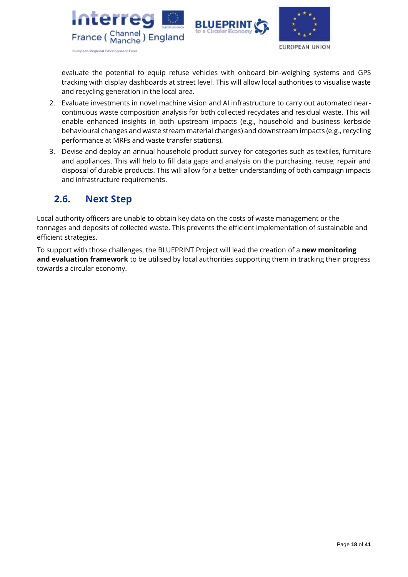



evaluate the potential to equip refuse vehicles with onboard bin-weighing systems and GPS tracking with display dashboards at street level. This will allow local authorities to visualise waste and recycling generation in the local area.

- 2. Evaluate investments in novel machine vision and AI infrastructure to carry out automated nearcontinuous waste composition analysis for both collected recyclates and residual waste. This will enable enhanced insights in both upstream impacts (e.g., household and business kerbside behavioural changes and waste stream material changes) and downstream impacts (e.g., recycling performance at MRFs and waste transfer stations).
- 3. Devise and deploy an annual household product survey for categories such as textiles, furniture and appliances. This will help to fill data gaps and analysis on the purchasing, reuse, repair and disposal of durable products. This will allow for a better understanding of both campaign impacts and infrastructure requirements.

# <span id="page-17-0"></span>**2.6. Next Step**

Local authority officers are unable to obtain key data on the costs of waste management or the tonnages and deposits of collected waste. This prevents the efficient implementation of sustainable and efficient strategies.

To support with those challenges, the BLUEPRINT Project will lead the creation of a **new monitoring and evaluation framework** to be utilised by local authorities supporting them in tracking their progress towards a circular economy.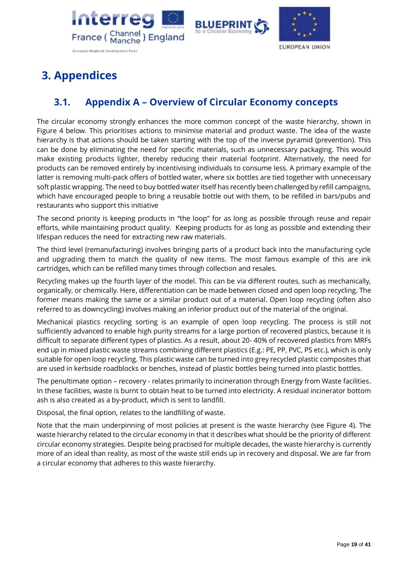





# <span id="page-18-0"></span>**3. Appendices**

# <span id="page-18-1"></span>**3.1. Appendix A – Overview of Circular Economy concepts**

The circular economy strongly enhances the more common concept of the waste hierarchy, shown in Figure 4 below. This prioritises actions to minimise material and product waste. The idea of the waste hierarchy is that actions should be taken starting with the top of the inverse pyramid (prevention). This can be done by eliminating the need for specific materials, such as unnecessary packaging. This would make existing products lighter, thereby reducing their material footprint. Alternatively, the need for products can be removed entirely by incentivising individuals to consume less. A primary example of the latter is removing multi-pack offers of bottled water, where six bottles are tied together with unnecessary soft plastic wrapping. The need to buy bottled water itself has recently been challenged by refill campaigns, which have encouraged people to bring a reusable bottle out with them, to be refilled in bars/pubs and restaurants who support this initiative

The second priority is keeping products in "the loop" for as long as possible through reuse and repair efforts, while maintaining product quality. Keeping products for as long as possible and extending their lifespan reduces the need for extracting new raw materials.

The third level (remanufacturing) involves bringing parts of a product back into the manufacturing cycle and upgrading them to match the quality of new items. The most famous example of this are ink cartridges, which can be refilled many times through collection and resales.

Recycling makes up the fourth layer of the model. This can be via different routes, such as mechanically, organically, or chemically. Here, differentiation can be made between closed and open loop recycling. The former means making the same or a similar product out of a material. Open loop recycling (often also referred to as downcycling) involves making an inferior product out of the material of the original.

Mechanical plastics recycling sorting is an example of open loop recycling. The process is still not sufficiently advanced to enable high purity streams for a large portion of recovered plastics, because it is difficult to separate different types of plastics. As a result, about 20- 40% of recovered plastics from MRFs end up in mixed plastic waste streams combining different plastics (E.g.: PE, PP, PVC, PS etc.), which is only suitable for open loop recycling. This plastic waste can be turned into grey recycled plastic composites that are used in kerbside roadblocks or benches, instead of plastic bottles being turned into plastic bottles.

The penultimate option – recovery - relates primarily to incineration through Energy from Waste facilities. In these facilities, waste is burnt to obtain heat to be turned into electricity. A residual incinerator bottom ash is also created as a by-product, which is sent to landfill.

Disposal, the final option, relates to the landfilling of waste.

Note that the main underpinning of most policies at present is the waste hierarchy (see Figure 4). The waste hierarchy related to the circular economy in that it describes what should be the priority of different circular economy strategies. Despite being practised for multiple decades, the waste hierarchy is currently more of an ideal than reality, as most of the waste still ends up in recovery and disposal. We are far from a circular economy that adheres to this waste hierarchy.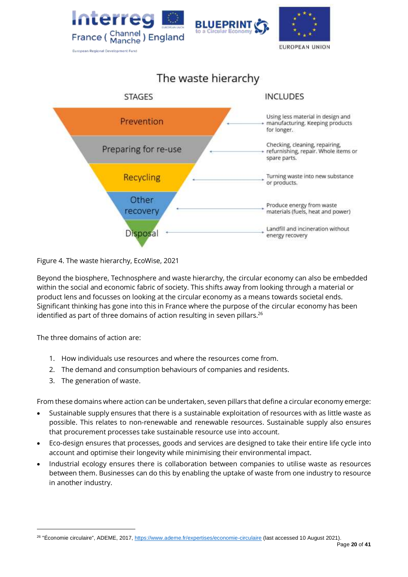



Figure 4. The waste hierarchy, EcoWise, 2021

Beyond the biosphere, Technosphere and waste hierarchy, the circular economy can also be embedded within the social and economic fabric of society. This shifts away from looking through a material or product lens and focusses on looking at the circular economy as a means towards societal ends. Significant thinking has gone into this in France where the purpose of the circular economy has been identified as part of three domains of action resulting in seven pillars. $^{26}$ 

The three domains of action are:

- 1. How individuals use resources and where the resources come from.
- 2. The demand and consumption behaviours of companies and residents.
- 3. The generation of waste.

From these domains where action can be undertaken, seven pillars that define a circular economy emerge:

- Sustainable supply ensures that there is a sustainable exploitation of resources with as little waste as possible. This relates to non-renewable and renewable resources. Sustainable supply also ensures that procurement processes take sustainable resource use into account.
- Eco-design ensures that processes, goods and services are designed to take their entire life cycle into account and optimise their longevity while minimising their environmental impact.
- Industrial ecology ensures there is collaboration between companies to utilise waste as resources between them. Businesses can do this by enabling the uptake of waste from one industry to resource in another industry.

<sup>&</sup>lt;sup>26</sup> "Économie circulaire", ADEME, 2017, <https://www.ademe.fr/expertises/economie-circulaire> (last accessed 10 August 2021).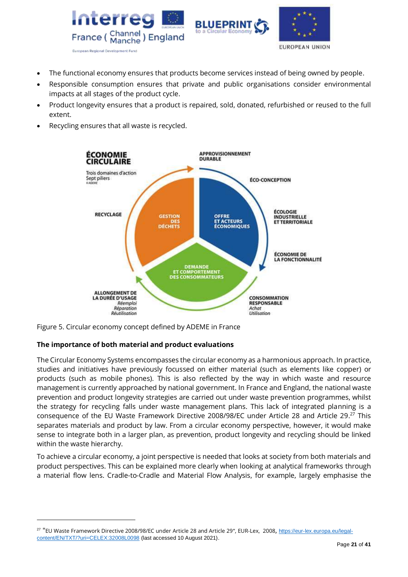



- The functional economy ensures that products become services instead of being owned by people.
- Responsible consumption ensures that private and public organisations consider environmental impacts at all stages of the product cycle.
- Product longevity ensures that a product is repaired, sold, donated, refurbished or reused to the full extent.
- Recycling ensures that all waste is recycled.



Figure 5. Circular economy concept defined by ADEME in France

### **The importance of both material and product evaluations**

The Circular Economy Systems encompasses the circular economy as a harmonious approach. In practice, studies and initiatives have previously focussed on either material (such as elements like copper) or products (such as mobile phones). This is also reflected by the way in which waste and resource management is currently approached by national government. In France and England, the national waste prevention and product longevity strategies are carried out under waste prevention programmes, whilst the strategy for recycling falls under waste management plans. This lack of integrated planning is a consequence of the EU Waste Framework Directive 2008/98/EC under Article 28 and Article 29. <sup>27</sup> This separates materials and product by law. From a circular economy perspective, however, it would make sense to integrate both in a larger plan, as prevention, product longevity and recycling should be linked within the waste hierarchy.

To achieve a circular economy, a joint perspective is needed that looks at society from both materials and product perspectives. This can be explained more clearly when looking at analytical frameworks through a material flow lens. Cradle-to-Cradle and Material Flow Analysis, for example, largely emphasise the

<sup>&</sup>lt;sup>27</sup> "EU Waste Framework Directive 2008/98/EC under Article 28 and Article 29", EUR-Lex, 2008, <u>https://eur-lex.europa.eu/legal</u>[content/EN/TXT/?uri=CELEX:32008L0098](https://eur-lex.europa.eu/legal-content/EN/TXT/?uri=CELEX:32008L0098%20) (last accessed 10 August 2021).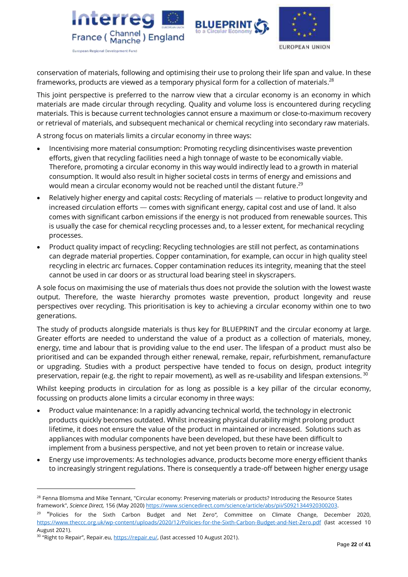





conservation of materials, following and optimising their use to prolong their life span and value. In these frameworks, products are viewed as a temporary physical form for a collection of materials. $^{28}$ 

This joint perspective is preferred to the narrow view that a circular economy is an economy in which materials are made circular through recycling. Quality and volume loss is encountered during recycling materials. This is because current technologies cannot ensure a maximum or close-to-maximum recovery or retrieval of materials, and subsequent mechanical or chemical recycling into secondary raw materials.

A strong focus on materials limits a circular economy in three ways:

- Incentivising more material consumption: Promoting recycling disincentivises waste prevention efforts, given that recycling facilities need a high tonnage of waste to be economically viable. Therefore, promoting a circular economy in this way would indirectly lead to a growth in material consumption. It would also result in higher societal costs in terms of energy and emissions and would mean a circular economy would not be reached until the distant future. $^{29}$
- Relatively higher energy and capital costs: Recycling of materials relative to product longevity and increased circulation efforts — comes with significant energy, capital cost and use of land. It also comes with significant carbon emissions if the energy is not produced from renewable sources. This is usually the case for chemical recycling processes and, to a lesser extent, for mechanical recycling processes.
- Product quality impact of recycling: Recycling technologies are still not perfect, as contaminations can degrade material properties. Copper contamination, for example, can occur in high quality steel recycling in electric arc furnaces. Copper contamination reduces its integrity, meaning that the steel cannot be used in car doors or as structural load bearing steel in skyscrapers.

A sole focus on maximising the use of materials thus does not provide the solution with the lowest waste output. Therefore, the waste hierarchy promotes waste prevention, product longevity and reuse perspectives over recycling. This prioritisation is key to achieving a circular economy within one to two generations.

The study of products alongside materials is thus key for BLUEPRINT and the circular economy at large. Greater efforts are needed to understand the value of a product as a collection of materials, money, energy, time and labour that is providing value to the end user. The lifespan of a product must also be prioritised and can be expanded through either renewal, remake, repair, refurbishment, remanufacture or upgrading. Studies with a product perspective have tended to focus on design, product integrity preservation, repair (e.g. the right to repair movement), as well as re-usability and lifespan extensions. 30

Whilst keeping products in circulation for as long as possible is a key pillar of the circular economy, focussing on products alone limits a circular economy in three ways:

- Product value maintenance: In a rapidly advancing technical world, the technology in electronic products quickly becomes outdated. Whilst increasing physical durability might prolong product lifetime, it does not ensure the value of the product in maintained or increased. Solutions such as appliances with modular components have been developed, but these have been difficult to implement from a business perspective, and not yet been proven to retain or increase value.
- Energy use improvements: As technologies advance, products become more energy efficient thanks to increasingly stringent regulations. There is consequently a trade-off between higher energy usage

<sup>&</sup>lt;sup>28</sup> Fenna Blomsma and Mike Tennant, "Circular economy: Preserving materials or products? Introducing the Resource States framework", *Science Direct,* 156 (May 2020) [https://www.sciencedirect.com/science/article/abs/pii/S0921344920300203.](https://www.sciencedirect.com/science/article/abs/pii/S0921344920300203)

<sup>29</sup> "Policies for the Sixth Carbon Budget and Net Zero"*,* Committee on Climate Change, December 2020, <https://www.theccc.org.uk/wp-content/uploads/2020/12/Policies-for-the-Sixth-Carbon-Budget-and-Net-Zero.pdf> (last accessed 10 August 2021).

<sup>&</sup>lt;sup>30</sup> "Right to Repair", Repair.eu, *https://repair.eu/,* (last accessed 10 August 2021).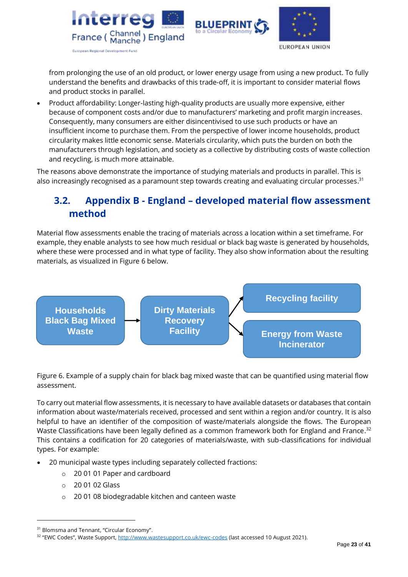



from prolonging the use of an old product, or lower energy usage from using a new product. To fully understand the benefits and drawbacks of this trade-off, it is important to consider material flows and product stocks in parallel.

• Product affordability: Longer-lasting high-quality products are usually more expensive, either because of component costs and/or due to manufacturers' marketing and profit margin increases. Consequently, many consumers are either disincentivised to use such products or have an insufficient income to purchase them. From the perspective of lower income households, product circularity makes little economic sense. Materials circularity, which puts the burden on both the manufacturers through legislation, and society as a collective by distributing costs of waste collection and recycling, is much more attainable.

The reasons above demonstrate the importance of studying materials and products in parallel. This is also increasingly recognised as a paramount step towards creating and evaluating circular processes.<sup>31</sup>

# <span id="page-22-0"></span>**3.2. Appendix B - England – developed material flow assessment method**

Material flow assessments enable the tracing of materials across a location within a set timeframe. For example, they enable analysts to see how much residual or black bag waste is generated by households, where these were processed and in what type of facility. They also show information about the resulting materials, as visualized in Figure 6 below.



Figure 6. Example of a supply chain for black bag mixed waste that can be quantified using material flow assessment.

To carry out material flow assessments, it is necessary to have available datasets or databases that contain information about waste/materials received, processed and sent within a region and/or country. It is also helpful to have an identifier of the composition of waste/materials alongside the flows. The European Waste Classifications have been legally defined as a common framework both for England and France.<sup>32</sup> This contains a codification for 20 categories of materials/waste, with sub-classifications for individual types. For example:

- 20 municipal waste types including separately collected fractions:
	- o 20 01 01 Paper and cardboard
	- $\circ$  20 01 02 Glass
	- o 20 01 08 biodegradable kitchen and canteen waste

<sup>&</sup>lt;sup>31</sup> Blomsma and Tennant, "Circular Economy".

<sup>&</sup>lt;sup>32</sup> "EWC Codes", Waste Support, <u>http://www.wastesupport.co.uk/ewc-codes</u> (last accessed 10 August 2021).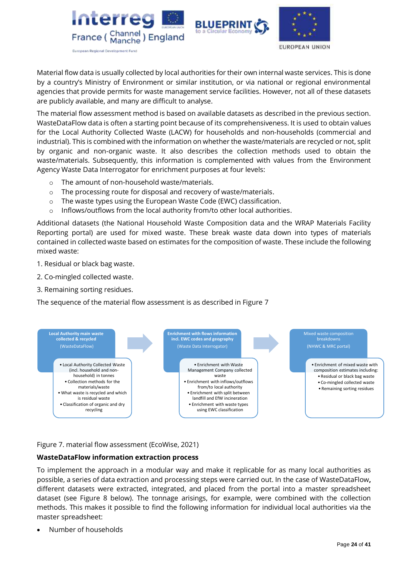



Material flow data is usually collected by local authorities for their own internal waste services. This is done by a country's Ministry of Environment or similar institution, or via national or regional environmental agencies that provide permits for waste management service facilities. However, not all of these datasets are publicly available, and many are difficult to analyse.

The material flow assessment method is based on available datasets as described in the previous section. WasteDataFlow data is often a starting point because of its comprehensiveness. It is used to obtain values for the Local Authority Collected Waste (LACW) for households and non-households (commercial and industrial). This is combined with the information on whether the waste/materials are recycled or not, split by organic and non-organic waste. It also describes the collection methods used to obtain the waste/materials. Subsequently, this information is complemented with values from the Environment Agency Waste Data Interrogator for enrichment purposes at four levels:

- o The amount of non-household waste/materials.
- o The processing route for disposal and recovery of waste/materials.
- o The waste types using the European Waste Code (EWC) classification.
- o Inflows/outflows from the local authority from/to other local authorities.

Additional datasets (the National Household Waste Composition data and the WRAP Materials Facility Reporting portal) are used for mixed waste. These break waste data down into types of materials contained in collected waste based on estimates for the composition of waste. These include the following mixed waste:

- 1. Residual or black bag waste.
- 2. Co-mingled collected waste.
- 3. Remaining sorting residues.

The sequence of the material flow assessment is as described in Figure 7



### Figure 7. material flow assessment (EcoWise, 2021)

### **WasteDataFlow information extraction process**

To implement the approach in a modular way and make it replicable for as many local authorities as possible, a series of data extraction and processing steps were carried out. In the case of WasteDataFlow**,** different datasets were extracted, integrated, and placed from the portal into a master spreadsheet dataset (see Figure 8 below). The tonnage arisings, for example, were combined with the collection methods. This makes it possible to find the following information for individual local authorities via the master spreadsheet:

• Number of households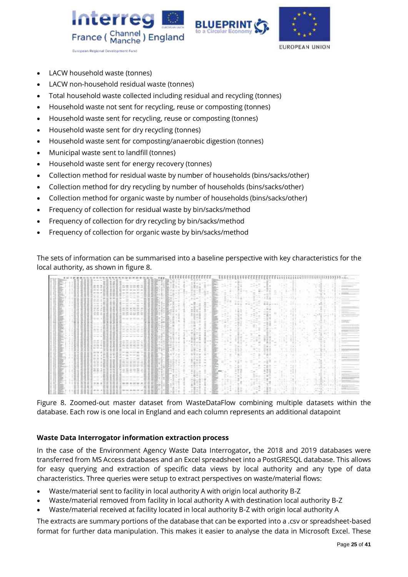





- LACW household waste (tonnes)
- LACW non-household residual waste (tonnes)
- Total household waste collected including residual and recycling (tonnes)
- Household waste not sent for recycling, reuse or composting (tonnes)
- Household waste sent for recycling, reuse or composting (tonnes)
- Household waste sent for dry recycling (tonnes)
- Household waste sent for composting/anaerobic digestion (tonnes)
- Municipal waste sent to landfill (tonnes)
- Household waste sent for energy recovery (tonnes)
- Collection method for residual waste by number of households (bins/sacks/other)
- Collection method for dry recycling by number of households (bins/sacks/other)
- Collection method for organic waste by number of households (bins/sacks/other)
- Frequency of collection for residual waste by bin/sacks/method
- Frequency of collection for dry recycling by bin/sacks/method
- Frequency of collection for organic waste by bin/sacks/method

The sets of information can be summarised into a baseline perspective with key characteristics for the local authority, as shown in figure 8.

|  |  |                                                   |                                                          |                |                                                                |             |                          |                                   |      |                                             |                                     |  |  |  |                           |  |               |  |                           | <b>Service</b><br>---                              |  |
|--|--|---------------------------------------------------|----------------------------------------------------------|----------------|----------------------------------------------------------------|-------------|--------------------------|-----------------------------------|------|---------------------------------------------|-------------------------------------|--|--|--|---------------------------|--|---------------|--|---------------------------|----------------------------------------------------|--|
|  |  |                                                   |                                                          |                | an are dear the control of                                     |             | $2 - 101$                | $-200$                            | $-1$ | 日本ルーバー                                      |                                     |  |  |  |                           |  |               |  |                           |                                                    |  |
|  |  |                                                   |                                                          |                | with the first company state.                                  |             |                          | $-5.57$                           |      | <b>SOFT</b><br>to the state.                | <b>SC</b> ment                      |  |  |  |                           |  |               |  |                           | <b>STATISTICS</b>                                  |  |
|  |  | <b>Early In All</b>                               |                                                          |                | and their fact that and their trac-                            |             |                          |                                   |      | the first file age and any<br>计最一面          | <b>Allen</b>                        |  |  |  |                           |  |               |  |                           | ----                                               |  |
|  |  | win a min                                         |                                                          |                |                                                                |             |                          |                                   |      | 日本(一) 国内                                    | the last line (p) the country and a |  |  |  |                           |  |               |  |                           |                                                    |  |
|  |  |                                                   | the country of the country of                            |                | the projection species lists of the                            | ___         | コンエント 日本                 |                                   |      | state for<br>The Mill of the American       | <b>Contract</b>                     |  |  |  | or Mr. M. Co., Louis A.   |  |               |  | control to the control of |                                                    |  |
|  |  | the process of<br><b>MACARITAS</b><br>$-10-10-10$ |                                                          |                | the party of the start color child                             |             |                          | <b>BELL J' → 世界生16 LJ +</b>       |      |                                             |                                     |  |  |  | <b>SALES</b>              |  |               |  |                           |                                                    |  |
|  |  |                                                   |                                                          |                |                                                                |             |                          |                                   |      | the district of                             | $-40$                               |  |  |  | Windows and concerning to |  | the design of |  | 実施して                      |                                                    |  |
|  |  |                                                   |                                                          |                |                                                                |             | through Library          |                                   |      | $\sim$<br>- -<br>as in him.                 | --                                  |  |  |  |                           |  |               |  |                           |                                                    |  |
|  |  |                                                   |                                                          |                | Min-Min, Jan., Jan.                                            |             |                          | $-1.11 - 1.1$<br>The first way or |      | $44.33 \times 10^{-1}$<br>the fill that you |                                     |  |  |  | $-70.08$                  |  |               |  |                           | _____                                              |  |
|  |  | 149.003.24<br>No. 24 14                           |                                                          |                | tend and the track and                                         |             |                          |                                   |      |                                             |                                     |  |  |  |                           |  |               |  |                           | $-100$<br><b>Service</b><br>--------               |  |
|  |  |                                                   |                                                          |                |                                                                |             |                          |                                   |      | <b>COLLA</b>                                |                                     |  |  |  |                           |  |               |  |                           | $-1000$<br><b>Service Controller Controller</b>    |  |
|  |  | -- - -                                            |                                                          |                | 21-40-242-922-922-02                                           |             | and the                  |                                   |      | $-10 - 10$                                  |                                     |  |  |  |                           |  |               |  |                           |                                                    |  |
|  |  | ---<br>distant of                                 |                                                          |                | and the control of the control of the                          | The Control |                          | $1000 + 1000 = 1000$              |      | 二三日二                                        |                                     |  |  |  |                           |  |               |  |                           | The company's state and                            |  |
|  |  |                                                   |                                                          |                | --------                                                       |             | <b>Contract Contract</b> |                                   |      | THE BAY                                     |                                     |  |  |  |                           |  |               |  |                           | ----------                                         |  |
|  |  |                                                   |                                                          |                | THE THE RECORD THE LINE<br>and the company of the con-         |             |                          |                                   |      | --                                          |                                     |  |  |  |                           |  |               |  |                           |                                                    |  |
|  |  |                                                   |                                                          |                | and the company of the company of the company                  |             |                          |                                   |      |                                             |                                     |  |  |  |                           |  |               |  |                           | 1. South 1<br>----                                 |  |
|  |  | <b>START OF</b>                                   |                                                          |                | are was not the out our                                        |             |                          | <b>Billing Jane Hard</b>          |      | 新型ケー                                        |                                     |  |  |  |                           |  |               |  |                           |                                                    |  |
|  |  | <b>UP-18, 22 MAI</b>                              |                                                          |                | \$1.40 OT -24 500 OT -24                                       |             |                          | <b>ARCARDON NE</b>                |      | the star for the country                    | $-10-10$                            |  |  |  |                           |  |               |  |                           | The comment of the                                 |  |
|  |  |                                                   |                                                          |                | that can see the same that<br>ALC: YEST AND ARR WAY AND        |             |                          |                                   |      | 22 44 34 35<br>10 Kitchen                   |                                     |  |  |  |                           |  |               |  |                           | <b><i>Programmer</i></b>                           |  |
|  |  |                                                   |                                                          |                |                                                                |             | <b>JUNEAU C. L. Bank</b> |                                   |      | ----<br>$\sim$ 11 $\sim$                    |                                     |  |  |  |                           |  |               |  |                           |                                                    |  |
|  |  |                                                   |                                                          |                |                                                                |             |                          |                                   |      |                                             |                                     |  |  |  |                           |  |               |  |                           | <b>SEARCH AND ARRANGEMENT</b><br><b>STATISTICS</b> |  |
|  |  | 主な注目                                              | (00 TB of the SE in 10 SE for the SE the of the integral |                | 1000 第二一次十六 10 一次                                              |             |                          |                                   |      |                                             |                                     |  |  |  |                           |  |               |  |                           | ------                                             |  |
|  |  |                                                   |                                                          |                | the lower and show that sales was<br>and the state of the con- |             |                          |                                   |      |                                             |                                     |  |  |  |                           |  |               |  |                           | 306E7T                                             |  |
|  |  |                                                   |                                                          |                |                                                                |             |                          |                                   |      |                                             |                                     |  |  |  |                           |  |               |  |                           | <b>LEASE COMPANY</b><br>____                       |  |
|  |  |                                                   |                                                          |                |                                                                |             |                          |                                   |      |                                             |                                     |  |  |  |                           |  |               |  |                           |                                                    |  |
|  |  |                                                   | 共立体体反共元                                                  |                | and their class were dark shown and                            |             |                          |                                   |      | ----                                        |                                     |  |  |  |                           |  |               |  | $-1000$                   |                                                    |  |
|  |  |                                                   |                                                          |                | 22. At my bot the release to 22.                               |             |                          |                                   |      |                                             |                                     |  |  |  |                           |  |               |  |                           |                                                    |  |
|  |  |                                                   |                                                          |                | The property of the Constitution of                            |             |                          | <b><i><u>PACE AC</u></i></b>      |      | <b>LATER STATE</b>                          |                                     |  |  |  |                           |  |               |  |                           | <b>CONTRACTOR</b>                                  |  |
|  |  |                                                   |                                                          |                | --------                                                       |             |                          |                                   |      |                                             |                                     |  |  |  |                           |  |               |  |                           |                                                    |  |
|  |  | $-1.36$                                           |                                                          |                |                                                                |             |                          |                                   |      | ----                                        |                                     |  |  |  |                           |  |               |  |                           | -----------                                        |  |
|  |  |                                                   |                                                          | 10 write do at |                                                                |             |                          |                                   |      |                                             |                                     |  |  |  |                           |  |               |  |                           |                                                    |  |
|  |  |                                                   |                                                          |                |                                                                |             |                          |                                   |      |                                             |                                     |  |  |  |                           |  |               |  |                           | The first process and the con-                     |  |
|  |  |                                                   |                                                          |                |                                                                |             |                          |                                   |      | at an interest                              |                                     |  |  |  |                           |  |               |  |                           |                                                    |  |

Figure 8. Zoomed-out master dataset from WasteDataFlow combining multiple datasets within the database. Each row is one local in England and each column represents an additional datapoint

### **Waste Data Interrogator information extraction process**

In the case of the Environment Agency Waste Data Interrogator**,** the 2018 and 2019 databases were transferred from MS Access databases and an Excel spreadsheet into a PostGRESQL database. This allows for easy querying and extraction of specific data views by local authority and any type of data characteristics. Three queries were setup to extract perspectives on waste/material flows:

- Waste/material sent to facility in local authority A with origin local authority B-Z
- Waste/material removed from facility in local authority A with destination local authority B-Z
- Waste/material received at facility located in local authority B-Z with origin local authority A

The extracts are summary portions of the database that can be exported into a .csv or spreadsheet-based format for further data manipulation. This makes it easier to analyse the data in Microsoft Excel. These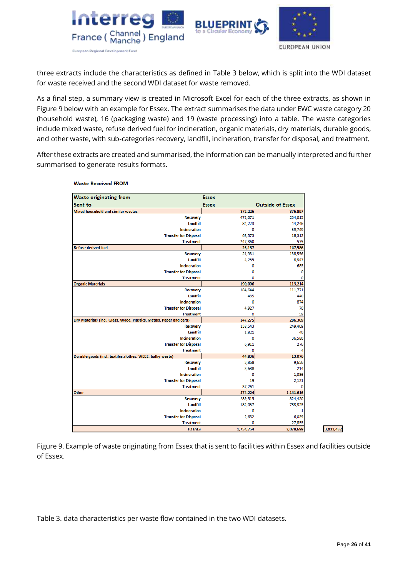

three extracts include the characteristics as defined in Table 3 below, which is split into the WDI dataset for waste received and the second WDI dataset for waste removed.

As a final step, a summary view is created in Microsoft Excel for each of the three extracts, as shown in Figure 9 below with an example for Essex. The extract summarises the data under EWC waste category 20 (household waste), 16 (packaging waste) and 19 (waste processing) into a table. The waste categories include mixed waste, refuse derived fuel for incineration, organic materials, dry materials, durable goods, and other waste, with sub-categories recovery, landfill, incineration, transfer for disposal, and treatment.

After these extracts are created and summarised, the information can be manually interpreted and further summarised to generate results formats.

| <b>Waste originating from</b>                                       | <b>Essex</b> |                         |
|---------------------------------------------------------------------|--------------|-------------------------|
| Sent to                                                             | <b>Essex</b> | <b>Outside of Essex</b> |
| <b>Mixed household and similar wastes</b>                           | 872,226      | 376,897                 |
| <b>Recovery</b>                                                     | 472,071      | 254,015                 |
| Landfill                                                            | 84,223       | 44,246                  |
| <b>Incineration</b>                                                 | 0            | 59,749                  |
| <b>Transfer for Disposal</b>                                        | 68,573       | 18,312                  |
| <b>Treatment</b>                                                    | 247,360      | 575                     |
| <b>Refuse derived fuel</b>                                          | 26.187       | 147,586                 |
| <b>Recovery</b>                                                     | 21,931       | 138,556                 |
| Landfill                                                            | 4,255        | 8,347                   |
| <b>Incineration</b>                                                 | 0            | 683                     |
| <b>Transfer for Disposal</b>                                        | 0            | 0                       |
| <b>Treatment</b>                                                    | 0            |                         |
| <b>Organic Materials</b>                                            | 190,006      | 113,214                 |
| <b>Recovery</b>                                                     | 184,644      | 111,771                 |
| Landfill                                                            | 435          | 440                     |
| <b>Incineration</b>                                                 | 0            | 874                     |
| <b>Transfer for Disposal</b>                                        | 4,927        | 70                      |
| <b>Treatment</b>                                                    | 0            | 59                      |
| Dry Materials (incl. Glass, Wood, Plastics, Metals, Paper and card) | 147,275      | 286.309                 |
| <b>Recovery</b>                                                     | 138,543      | 249,409                 |
| Landfill                                                            | 1,821        | 40                      |
| <b>Incineration</b>                                                 | ٥            | 36,580                  |
| <b>Transfer for Disposal</b>                                        | 6,911        | 276                     |
| <b>Treatment</b>                                                    | ٥            |                         |
| Durable goods (incl. textiles, clothes, WEEE, bulky waste)          | 44,836       | 13,076                  |
| <b>Recovery</b>                                                     | 3,868        | 9.656                   |
| Landfill                                                            | 3,688        | 214                     |
| <b>Incineration</b>                                                 | 0            | 1,086                   |
| <b>Transfer for Disposal</b>                                        | 19           | 2,121                   |
| <b>Treatment</b>                                                    | 37,261       | 0                       |
| Other                                                               | 474,224      | 1,141,616               |
| <b>Recovery</b>                                                     | 289,515      | 324,420                 |
| Landfill                                                            | 182,057      | 783,323                 |
| <b>Incineration</b>                                                 | ٥            |                         |
| <b>Transfer for Disposal</b>                                        | 2,652        | 6,039                   |
| <b>Treatment</b>                                                    | ٥            | 27,833                  |
| <b>TOTALS</b>                                                       | 1,754,754    | 2,078,699               |

**Waste Received FROM** 

Figure 9. Example of waste originating from Essex that is sent to facilities within Essex and facilities outside of Essex.

Table 3. data characteristics per waste flow contained in the two WDI datasets.

3,833,452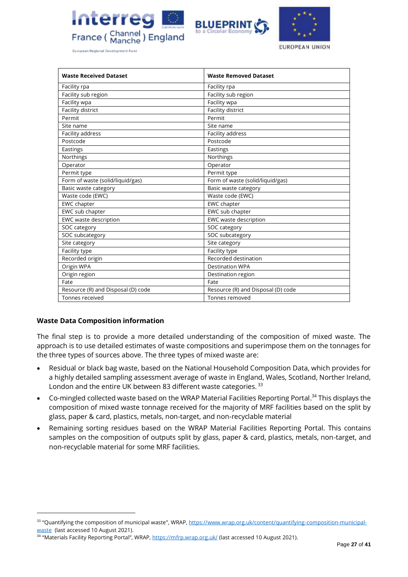





European Regional Development Fund

| <b>Waste Received Dataset</b>      | <b>Waste Removed Dataset</b>       |
|------------------------------------|------------------------------------|
| Facility rpa                       | Facility rpa                       |
| Facility sub region                | Facility sub region                |
| Facility wpa                       | Facility wpa                       |
| Facility district                  | Facility district                  |
| Permit                             | Permit                             |
| Site name                          | Site name                          |
| Facility address                   | Facility address                   |
| Postcode                           | Postcode                           |
| Eastings                           | Eastings                           |
| Northings                          | Northings                          |
| Operator                           | Operator                           |
| Permit type                        | Permit type                        |
| Form of waste (solid/liquid/gas)   | Form of waste (solid/liquid/gas)   |
| Basic waste category               | Basic waste category               |
| Waste code (EWC)                   | Waste code (EWC)                   |
| EWC chapter                        | EWC chapter                        |
| EWC sub chapter                    | EWC sub chapter                    |
| EWC waste description              | EWC waste description              |
| SOC category                       | SOC category                       |
| SOC subcategory                    | SOC subcategory                    |
| Site category                      | Site category                      |
| Facility type                      | Facility type                      |
| Recorded origin                    | Recorded destination               |
| Origin WPA                         | <b>Destination WPA</b>             |
| Origin region                      | Destination region                 |
| Fate                               | Fate                               |
| Resource (R) and Disposal (D) code | Resource (R) and Disposal (D) code |
| Tonnes received                    | Tonnes removed                     |

### **Waste Data Composition information**

The final step is to provide a more detailed understanding of the composition of mixed waste. The approach is to use detailed estimates of waste compositions and superimpose them on the tonnages for the three types of sources above. The three types of mixed waste are:

- Residual or black bag waste, based on the National Household Composition Data, which provides for a highly detailed sampling assessment average of waste in England, Wales, Scotland, Norther Ireland, London and the entire UK between 83 different waste categories.<sup>33</sup>
- Co-mingled collected waste based on the WRAP Material Facilities Reporting Portal.<sup>34</sup> This displays the composition of mixed waste tonnage received for the majority of MRF facilities based on the split by glass, paper & card, plastics, metals, non-target, and non-recyclable material
- Remaining sorting residues based on the WRAP Material Facilities Reporting Portal. This contains samples on the composition of outputs split by glass, paper & card, plastics, metals, non-target, and non-recyclable material for some MRF facilities.

<sup>&</sup>lt;sup>33</sup> "Quantifying the composition of municipal waste", WRAP, [https://www.wrap.org.uk/content/quantifying-composition-municipal](https://www.wrap.org.uk/content/quantifying-composition-municipal-waste)[waste](https://www.wrap.org.uk/content/quantifying-composition-municipal-waste) (last accessed 10 August 2021).

<sup>&</sup>lt;sup>34</sup> "Materials Facility Reporting Portal", WRAP, <u><https://mfrp.wrap.org.uk/></u> (last accessed 10 August 2021).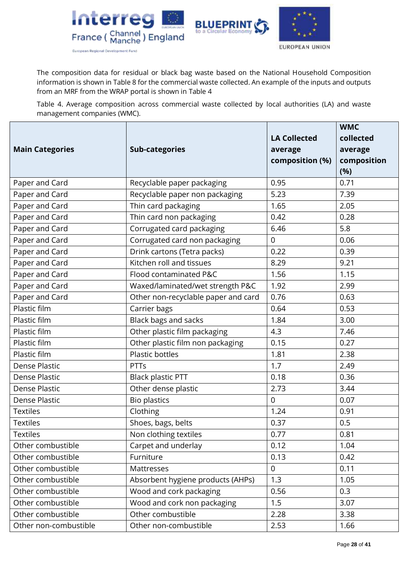



EUROPEAN UNION

The composition data for residual or black bag waste based on the National Household Composition information is shown in Table 8 for the commercial waste collected. An example of the inputs and outputs from an MRF from the WRAP portal is shown in Table 4

Table 4. Average composition across commercial waste collected by local authorities (LA) and waste management companies (WMC).

| <b>Main Categories</b> | <b>Sub-categories</b>               | <b>LA Collected</b><br>average<br>composition (%) | <b>WMC</b><br>collected<br>average<br>composition<br>(%) |
|------------------------|-------------------------------------|---------------------------------------------------|----------------------------------------------------------|
| Paper and Card         | Recyclable paper packaging          | 0.95                                              | 0.71                                                     |
| Paper and Card         | Recyclable paper non packaging      | 5.23                                              | 7.39                                                     |
| Paper and Card         | Thin card packaging                 | 1.65                                              | 2.05                                                     |
| Paper and Card         | Thin card non packaging             | 0.42                                              | 0.28                                                     |
| Paper and Card         | Corrugated card packaging           | 6.46                                              | 5.8                                                      |
| Paper and Card         | Corrugated card non packaging       | $\mathbf 0$                                       | 0.06                                                     |
| Paper and Card         | Drink cartons (Tetra packs)         | 0.22                                              | 0.39                                                     |
| Paper and Card         | Kitchen roll and tissues            | 8.29                                              | 9.21                                                     |
| Paper and Card         | Flood contaminated P&C              | 1.56                                              | 1.15                                                     |
| Paper and Card         | Waxed/laminated/wet strength P&C    | 1.92                                              | 2.99                                                     |
| Paper and Card         | Other non-recyclable paper and card | 0.76                                              | 0.63                                                     |
| Plastic film           | Carrier bags                        | 0.64                                              | 0.53                                                     |
| Plastic film           | Black bags and sacks                | 1.84                                              | 3.00                                                     |
| Plastic film           | Other plastic film packaging        | 4.3                                               | 7.46                                                     |
| Plastic film           | Other plastic film non packaging    | 0.15                                              | 0.27                                                     |
| Plastic film           | Plastic bottles                     | 1.81                                              | 2.38                                                     |
| <b>Dense Plastic</b>   | <b>PTTs</b>                         | 1.7                                               | 2.49                                                     |
| Dense Plastic          | <b>Black plastic PTT</b>            | 0.18                                              | 0.36                                                     |
| <b>Dense Plastic</b>   | Other dense plastic                 | 2.73                                              | 3.44                                                     |
| Dense Plastic          | <b>Bio plastics</b>                 | $\overline{0}$                                    | 0.07                                                     |
| <b>Textiles</b>        | Clothing                            | 1.24                                              | 0.91                                                     |
| <b>Textiles</b>        | Shoes, bags, belts                  | 0.37                                              | 0.5                                                      |
| <b>Textiles</b>        | Non clothing textiles               | 0.77                                              | 0.81                                                     |
| Other combustible      | Carpet and underlay                 | 0.12                                              | 1.04                                                     |
| Other combustible      | Furniture                           | 0.13                                              | 0.42                                                     |
| Other combustible      | Mattresses                          | $\overline{0}$                                    | 0.11                                                     |
| Other combustible      | Absorbent hygiene products (AHPs)   | 1.3                                               | 1.05                                                     |
| Other combustible      | Wood and cork packaging             | 0.56                                              | 0.3                                                      |
| Other combustible      | Wood and cork non packaging         | 1.5                                               | 3.07                                                     |
| Other combustible      | Other combustible                   | 2.28                                              | 3.38                                                     |
| Other non-combustible  | Other non-combustible               | 2.53                                              | 1.66                                                     |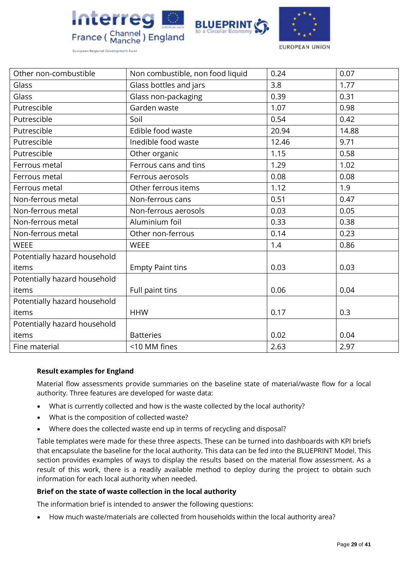





EUROPEAN UNION

| Other non-combustible        | Non combustible, non food liquid | 0.24  | 0.07  |
|------------------------------|----------------------------------|-------|-------|
| Glass                        | Glass bottles and jars           | 3.8   | 1.77  |
| Glass                        | Glass non-packaging              | 0.39  | 0.31  |
| Putrescible                  | Garden waste                     | 1.07  | 0.98  |
| Putrescible                  | Soil                             | 0.54  | 0.42  |
| Putrescible                  | Edible food waste                | 20.94 | 14.88 |
| Putrescible                  | Inedible food waste              | 12.46 | 9.71  |
| Putrescible                  | Other organic                    | 1.15  | 0.58  |
| Ferrous metal                | Ferrous cans and tins            | 1.29  | 1.02  |
| Ferrous metal                | Ferrous aerosols                 | 0.08  | 0.08  |
| Ferrous metal                | Other ferrous items              | 1.12  | 1.9   |
| Non-ferrous metal            | Non-ferrous cans                 | 0.51  | 0.47  |
| Non-ferrous metal            | Non-ferrous aerosols             | 0.03  | 0.05  |
| Non-ferrous metal            | Aluminium foil                   | 0.33  | 0.38  |
| Non-ferrous metal            | Other non-ferrous                | 0.14  | 0.23  |
| <b>WEEE</b>                  | <b>WEEE</b>                      | 1.4   | 0.86  |
| Potentially hazard household |                                  |       |       |
| items                        | <b>Empty Paint tins</b>          | 0.03  | 0.03  |
| Potentially hazard household |                                  |       |       |
| items                        | Full paint tins                  | 0.06  | 0.04  |
| Potentially hazard household |                                  |       |       |
| items                        | <b>HHW</b>                       | 0.17  | 0.3   |
| Potentially hazard household |                                  |       |       |
| items                        | <b>Batteries</b>                 | 0.02  | 0.04  |
| Fine material                | <10 MM fines                     | 2.63  | 2.97  |

### **Result examples for England**

Material flow assessments provide summaries on the baseline state of material/waste flow for a local authority. Three features are developed for waste data:

- What is currently collected and how is the waste collected by the local authority?
- What is the composition of collected waste?
- Where does the collected waste end up in terms of recycling and disposal?

Table templates were made for these three aspects. These can be turned into dashboards with KPI briefs that encapsulate the baseline for the local authority. This data can be fed into the BLUEPRINT Model. This section provides examples of ways to display the results based on the material flow assessment. As a result of this work, there is a readily available method to deploy during the project to obtain such information for each local authority when needed.

### **Brief on the state of waste collection in the local authority**

The information brief is intended to answer the following questions:

• How much waste/materials are collected from households within the local authority area?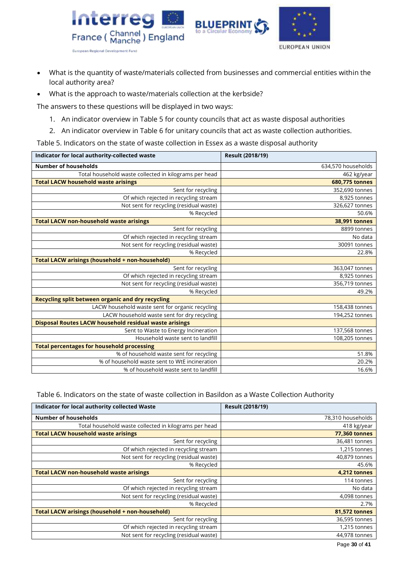

- What is the quantity of waste/materials collected from businesses and commercial entities within the local authority area?
- What is the approach to waste/materials collection at the kerbside?

The answers to these questions will be displayed in two ways:

- 1. An indicator overview in Table 5 for county councils that act as waste disposal authorities
- 2. An indicator overview in Table 6 for unitary councils that act as waste collection authorities.

Table 5. Indicators on the state of waste collection in Essex as a waste disposal authority

| Indicator for local authority-collected waste          | Result (2018/19)     |
|--------------------------------------------------------|----------------------|
| <b>Number of households</b>                            | 634,570 households   |
| Total household waste collected in kilograms per head  | 462 kg/year          |
| <b>Total LACW household waste arisings</b>             | 680,775 tonnes       |
| Sent for recycling                                     | 352,690 tonnes       |
| Of which rejected in recycling stream                  | 8,925 tonnes         |
| Not sent for recycling (residual waste)                | 326,627 tonnes       |
| % Recycled                                             | 50.6%                |
| <b>Total LACW non-household waste arisings</b>         | <b>38,991 tonnes</b> |
| Sent for recycling                                     | 8899 tonnes          |
| Of which rejected in recycling stream                  | No data              |
| Not sent for recycling (residual waste)                | 30091 tonnes         |
| % Recycled                                             | 22.8%                |
| Total LACW arisings (household + non-household)        |                      |
| Sent for recycling                                     | 363,047 tonnes       |
| Of which rejected in recycling stream                  | 8,925 tonnes         |
| Not sent for recycling (residual waste)                | 356,719 tonnes       |
| % Recycled                                             | 49.2%                |
| Recycling split between organic and dry recycling      |                      |
| LACW household waste sent for organic recycling        | 158,438 tonnes       |
| LACW household waste sent for dry recycling            | 194,252 tonnes       |
| Disposal Routes LACW household residual waste arisings |                      |
| Sent to Waste to Energy Incineration                   | 137,568 tonnes       |
| Household waste sent to landfill                       | 108,205 tonnes       |
| <b>Total percentages for household processing</b>      |                      |
| % of household waste sent for recycling                | 51.8%                |
| % of household waste sent to WtE incineration          | 20.2%                |
| % of household waste sent to landfill                  | 16.6%                |

### Table 6. Indicators on the state of waste collection in Basildon as a Waste Collection Authority

| Indicator for local authority collected Waste         | <b>Result (2018/19)</b> |
|-------------------------------------------------------|-------------------------|
| <b>Number of households</b>                           | 78,310 households       |
| Total household waste collected in kilograms per head | 418 kg/year             |
| <b>Total LACW household waste arisings</b>            | <b>77,360 tonnes</b>    |
| Sent for recycling                                    | 36,481 tonnes           |
| Of which rejected in recycling stream                 | 1,215 tonnes            |
| Not sent for recycling (residual waste)               | 40,879 tonnes           |
| % Recycled                                            | 45.6%                   |
| <b>Total LACW non-household waste arisings</b>        | 4,212 tonnes            |
| Sent for recycling                                    | 114 tonnes              |
| Of which rejected in recycling stream                 | No data                 |
| Not sent for recycling (residual waste)               | 4,098 tonnes            |
| % Recycled                                            | 2.7%                    |
| Total LACW arisings (household + non-household)       | 81,572 tonnes           |
| Sent for recycling                                    | 36,595 tonnes           |
| Of which rejected in recycling stream                 | 1,215 tonnes            |
| Not sent for recycling (residual waste)               | 44,978 tonnes           |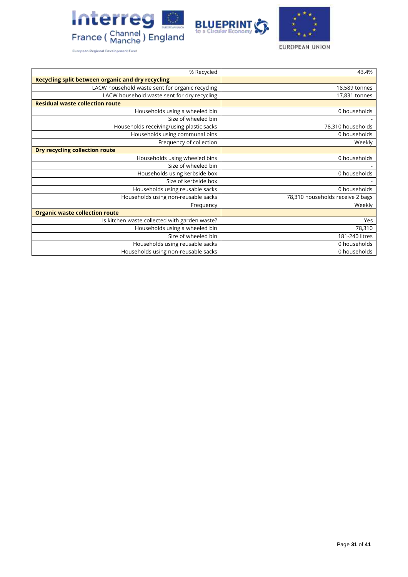





|  |  | European Regional Development Fund |  |
|--|--|------------------------------------|--|
|--|--|------------------------------------|--|

| % Recycled                                               | 43.4%                            |
|----------------------------------------------------------|----------------------------------|
| <b>Recycling split between organic and dry recycling</b> |                                  |
| LACW household waste sent for organic recycling          | 18,589 tonnes                    |
| LACW household waste sent for dry recycling              | 17,831 tonnes                    |
| <b>Residual waste collection route</b>                   |                                  |
| Households using a wheeled bin                           | 0 households                     |
| Size of wheeled bin                                      |                                  |
| Households receiving/using plastic sacks                 | 78,310 households                |
| Households using communal bins                           | 0 households                     |
| Frequency of collection                                  | Weekly                           |
| <b>Dry recycling collection route</b>                    |                                  |
| Households using wheeled bins                            | 0 households                     |
| Size of wheeled bin                                      |                                  |
| Households using kerbside box                            | 0 households                     |
| Size of kerbside box                                     |                                  |
| Households using reusable sacks                          | 0 households                     |
| Households using non-reusable sacks                      | 78,310 households receive 2 bags |
| Frequency                                                | Weekly                           |
| <b>Organic waste collection route</b>                    |                                  |
| Is kitchen waste collected with garden waste?            | Yes                              |
| Households using a wheeled bin                           | 78,310                           |
| Size of wheeled bin                                      | 181-240 litres                   |
| Households using reusable sacks                          | 0 households                     |
| Households using non-reusable sacks                      | 0 households                     |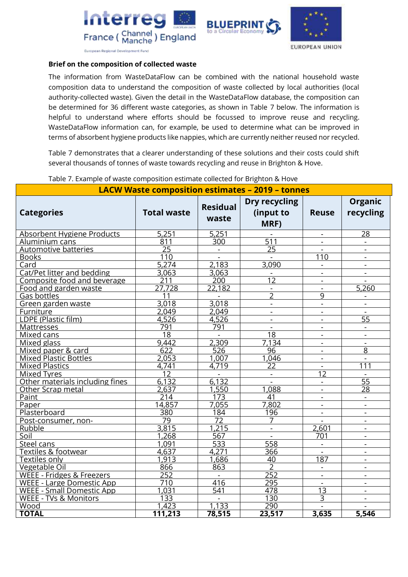





**European Regional Development Fund** 

### **Brief on the composition of collected waste**

The information from WasteDataFlow can be combined with the national household waste composition data to understand the composition of waste collected by local authorities (local authority-collected waste). Given the detail in the WasteDataFlow database, the composition can be determined for 36 different waste categories, as shown in Table 7 below. The information is helpful to understand where efforts should be focussed to improve reuse and recycling. WasteDataFlow information can, for example, be used to determine what can be improved in terms of absorbent hygiene products like nappies, which are currently neither reused nor recycled.

Table 7 demonstrates that a clearer understanding of these solutions and their costs could shift several thousands of tonnes of waste towards recycling and reuse in Brighton & Hove.

|                                  |                    |                          | <b>LACW Waste composition estimates - 2019 - tonnes</b> |                          |                             |  |
|----------------------------------|--------------------|--------------------------|---------------------------------------------------------|--------------------------|-----------------------------|--|
| <b>Categories</b>                | <b>Total waste</b> | <b>Residual</b><br>waste | <b>Dry recycling</b><br>(input to<br>MRF)               | <b>Reuse</b>             | <b>Organic</b><br>recycling |  |
| Absorbent Hygiene Products       | 5,251              | 5,251                    |                                                         | $\blacksquare$           | 28                          |  |
| Aluminium cans                   | 811                | 300                      | $\overline{511}$                                        | $\mathbf{r}$             |                             |  |
| Automotive batteries             | $\overline{25}$    | $\overline{\phantom{a}}$ | 25                                                      | $\blacksquare$           | $\blacksquare$              |  |
| <b>Books</b>                     | 110                | $\blacksquare$           |                                                         | 110                      |                             |  |
| Card                             | 5,274              | 2,183                    | 3,090                                                   | $\blacksquare$           | $\blacksquare$              |  |
| Cat/Pet litter and bedding       | 3,063              | 3,063                    |                                                         | $\overline{a}$           |                             |  |
| Composite food and beverage      | 211                | 200                      | $\overline{12}$                                         | $\blacksquare$           |                             |  |
| Food and garden waste            | 27.728             | 22,182                   | $\overline{\phantom{0}}$                                | $\mathbf{r}$             | 5,260                       |  |
| Gas bottles                      | 11                 | $\blacksquare$           | $\overline{2}$                                          | 9                        |                             |  |
| Green garden waste               | 3,018              | 3,018                    | $\mathbf{r}$                                            | $\overline{a}$           | $\mathbf{r}$                |  |
| Furniture                        | 2.049              | 2.049                    | $\overline{\phantom{a}}$                                | $\blacksquare$           |                             |  |
| LDPE (Plastic film)              | 4,526              | 4,526                    | $\overline{a}$                                          | $\mathbf{r}$             | $\overline{55}$             |  |
| <b>Mattresses</b>                | 791                | 791                      | $\blacksquare$                                          | $\sim$                   |                             |  |
| Mixed cans                       | $\overline{18}$    |                          | 18                                                      |                          |                             |  |
| Mixed glass                      | 9.442              | 2,309                    | 7.134                                                   | $\blacksquare$           | $\blacksquare$              |  |
| Mixed paper & card               | 622                | 526                      | 96                                                      | $\sim$                   | 8                           |  |
| <b>Mixed Plastic Bottles</b>     | 2,053              | $1,00\overline{7}$       | 1,046                                                   | $\overline{\phantom{a}}$ |                             |  |
| <b>Mixed Plastics</b>            | 4,741              | 4,719                    | $\overline{22}$                                         | $\mathbf{r}$             | 111                         |  |
| <b>Mixed Tyres</b>               | 12                 | $\blacksquare$           | $\blacksquare$                                          | 12                       | $\blacksquare$              |  |
| Other materials including fines  | 6,132              | 6,132                    | $\mathbf{r}$                                            | $\sim$                   | $\overline{55}$             |  |
| Other Scrap metal                | 2,637              | 1,550                    | 1,088                                                   | $\sim$                   | 28                          |  |
| Paint                            | $\overline{214}$   | 173                      | 41                                                      |                          |                             |  |
| Paper                            | 14,857             | 7.055                    | 7,802                                                   | $\blacksquare$           | $\blacksquare$              |  |
| Plasterboard                     | 380                | 184                      | 196                                                     | $\blacksquare$           |                             |  |
| Post-consumer, non-              | $\overline{79}$    | $\overline{72}$          | 7                                                       |                          | $\overline{\phantom{a}}$    |  |
| Rubble                           | 3,815              | 1.215                    | $\overline{a}$                                          | 2,601                    |                             |  |
| Soil                             | 1.268              | 567                      | $\blacksquare$                                          | 701                      | $\blacksquare$              |  |
| Steel cans                       | 1,091              | 533                      | 558                                                     | $\frac{1}{2}$            | $\blacksquare$              |  |
| <b>Textiles &amp; footwear</b>   | 4,637              | 4,271                    | 366                                                     |                          | $\sim$                      |  |
| Textiles only                    | 1,913              | 1,686                    | 40                                                      | 187                      |                             |  |
| Vegetable Oil                    | 866                | 863                      | $\overline{2}$                                          | $\blacksquare$           | $\blacksquare$              |  |
| WEEE - Fridges & Freezers        | 252                |                          | 252                                                     | $\blacksquare$           |                             |  |
| <b>WEEE - Large Domestic App</b> | $\overline{710}$   | 416                      | 295                                                     | $\overline{\phantom{a}}$ | $\overline{\phantom{a}}$    |  |
| <b>WEEE - Small Domestic App</b> | 1,031              | 541                      | 478                                                     | $\overline{13}$          |                             |  |
| WEEE - TVs & Monitors            | 133                | $\blacksquare$           | 130                                                     | 3                        | $\blacksquare$              |  |
| Wood                             | 1,423              | 1,133                    | 290                                                     |                          |                             |  |
| <b>TOTAL</b>                     | 111,213            | 78,515                   | 23,517                                                  | 3,635                    | 5,546                       |  |

#### Table 7. Example of waste composition estimate collected for Brighton & Hove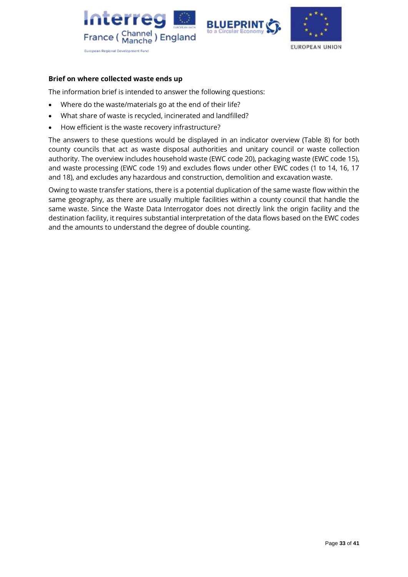





### **Brief on where collected waste ends up**

The information brief is intended to answer the following questions:

- Where do the waste/materials go at the end of their life?
- What share of waste is recycled, incinerated and landfilled?
- How efficient is the waste recovery infrastructure?

The answers to these questions would be displayed in an indicator overview (Table 8) for both county councils that act as waste disposal authorities and unitary council or waste collection authority. The overview includes household waste (EWC code 20), packaging waste (EWC code 15), and waste processing (EWC code 19) and excludes flows under other EWC codes (1 to 14, 16, 17 and 18), and excludes any hazardous and construction, demolition and excavation waste.

Owing to waste transfer stations, there is a potential duplication of the same waste flow within the same geography, as there are usually multiple facilities within a county council that handle the same waste. Since the Waste Data Interrogator does not directly link the origin facility and the destination facility, it requires substantial interpretation of the data flows based on the EWC codes and the amounts to understand the degree of double counting.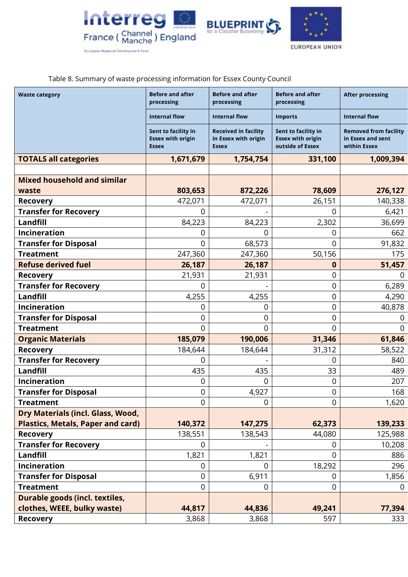





Table 8. Summary of waste processing information for Essex County Council

| <b>Waste category</b>                    | <b>Before and after</b><br>processing                           | <b>Before and after</b><br>processing                               | <b>Before and after</b><br>processing                               | <b>After processing</b>                                           |  |
|------------------------------------------|-----------------------------------------------------------------|---------------------------------------------------------------------|---------------------------------------------------------------------|-------------------------------------------------------------------|--|
|                                          | <b>Internal flow</b>                                            | <b>Internal flow</b>                                                | <b>Imports</b>                                                      | <b>Internal flow</b>                                              |  |
|                                          | Sent to facility in<br><b>Essex with origin</b><br><b>Essex</b> | <b>Received in facility</b><br>in Essex with origin<br><b>Essex</b> | Sent to facility in<br><b>Essex with origin</b><br>outside of Essex | <b>Removed from facility</b><br>in Essex and sent<br>within Essex |  |
| <b>TOTALS all categories</b>             | 1,671,679                                                       | 1,754,754                                                           | 331,100                                                             | 1,009,394                                                         |  |
|                                          |                                                                 |                                                                     |                                                                     |                                                                   |  |
| <b>Mixed household and similar</b>       |                                                                 |                                                                     |                                                                     |                                                                   |  |
| waste                                    | 803,653                                                         | 872,226                                                             | 78,609                                                              | 276,127                                                           |  |
| <b>Recovery</b>                          | 472,071                                                         | 472,071                                                             | 26,151                                                              | 140,338                                                           |  |
| <b>Transfer for Recovery</b>             | $\Omega$                                                        |                                                                     | 0                                                                   | 6,421                                                             |  |
| Landfill                                 | 84,223                                                          | 84,223                                                              | 2,302                                                               | 36,699                                                            |  |
| Incineration                             | O                                                               |                                                                     | 0                                                                   | 662                                                               |  |
| <b>Transfer for Disposal</b>             | $\Omega$                                                        | 68,573                                                              | 0                                                                   | 91,832                                                            |  |
| <b>Treatment</b>                         | 247,360                                                         | 247,360                                                             | 50,156                                                              | 175                                                               |  |
| <b>Refuse derived fuel</b>               | 26,187                                                          | 26,187                                                              | 0                                                                   | 51,457                                                            |  |
| <b>Recovery</b>                          | 21,931                                                          | 21,931                                                              | 0                                                                   | $\mathbf 0$                                                       |  |
| <b>Transfer for Recovery</b>             | $\Omega$                                                        |                                                                     | 0                                                                   | 6,289                                                             |  |
| Landfill                                 | 4,255                                                           | 4,255                                                               | 0                                                                   | 4,290                                                             |  |
| Incineration                             | 0                                                               | 0                                                                   | 0                                                                   | 40,878                                                            |  |
| <b>Transfer for Disposal</b>             | 0                                                               | 0                                                                   | 0                                                                   | 0                                                                 |  |
| <b>Treatment</b>                         | $\overline{0}$                                                  | 0                                                                   | 0                                                                   | 0                                                                 |  |
| <b>Organic Materials</b>                 | 185,079                                                         | 190,006                                                             | 31,346                                                              | 61,846                                                            |  |
| <b>Recovery</b>                          | 184,644                                                         | 184,644                                                             | 31,312                                                              | 58,522                                                            |  |
| <b>Transfer for Recovery</b>             | 0                                                               |                                                                     | 0                                                                   | 840                                                               |  |
| Landfill                                 | 435                                                             | 435                                                                 | 33                                                                  | 489                                                               |  |
| Incineration                             | 0                                                               | <sup>0</sup>                                                        | 0                                                                   | 207                                                               |  |
| <b>Transfer for Disposal</b>             | $\mathbf 0$                                                     | 4,927                                                               | $\mathbf 0$                                                         | 168                                                               |  |
| <b>Treatment</b>                         | $\mathbf 0$                                                     | $\mathbf 0$                                                         | 0                                                                   | 1,620                                                             |  |
| Dry Materials (incl. Glass, Wood,        |                                                                 |                                                                     |                                                                     |                                                                   |  |
| <b>Plastics, Metals, Paper and card)</b> | 140,372                                                         | 147,275                                                             | 62,373                                                              | 139,233                                                           |  |
| <b>Recovery</b>                          | 138,551                                                         | 138,543                                                             | 44,080                                                              | 125,988                                                           |  |
| <b>Transfer for Recovery</b>             | $\overline{0}$                                                  |                                                                     | 0                                                                   | 10,208                                                            |  |
| Landfill                                 | 1,821                                                           | 1,821                                                               | $\Omega$                                                            | 886                                                               |  |
| <b>Incineration</b>                      | $\mathbf 0$                                                     | $\Omega$                                                            | 18,292                                                              | 296                                                               |  |
| <b>Transfer for Disposal</b>             | $\boldsymbol{0}$                                                | 6,911                                                               | 0                                                                   | 1,856                                                             |  |
| <b>Treatment</b>                         | $\mathbf 0$                                                     | 0                                                                   | $\overline{0}$                                                      | $\mathbf 0$                                                       |  |
| Durable goods (incl. textiles,           |                                                                 |                                                                     |                                                                     |                                                                   |  |
| clothes, WEEE, bulky waste)              | 44,817                                                          | 44,836                                                              | 49,241                                                              | 77,394                                                            |  |
| <b>Recovery</b>                          | 3,868                                                           | 3,868                                                               | 597                                                                 | 333                                                               |  |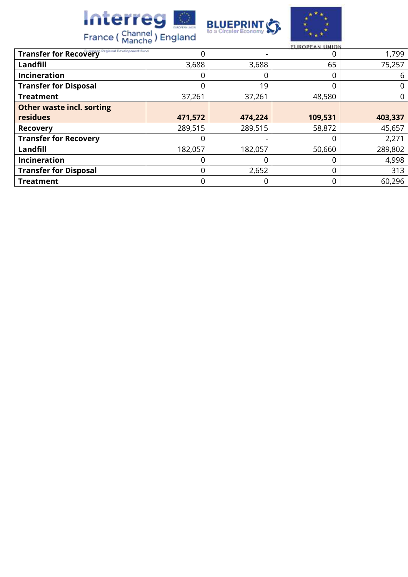





| EUROPEAN UNION                                         |         |         |         |         |  |  |  |
|--------------------------------------------------------|---------|---------|---------|---------|--|--|--|
| <b>Transfer for Recovery</b> Regional Development Fund | 0       | Ξ.      |         | 1,799   |  |  |  |
| Landfill                                               | 3,688   | 3,688   | 65      | 75,257  |  |  |  |
| Incineration                                           | 0       | 0       |         | 6       |  |  |  |
| <b>Transfer for Disposal</b>                           | 0       | 19      |         |         |  |  |  |
| <b>Treatment</b>                                       | 37,261  | 37,261  | 48,580  | 0       |  |  |  |
| <b>Other waste incl. sorting</b>                       |         |         |         |         |  |  |  |
| residues                                               | 471,572 | 474,224 | 109,531 | 403,337 |  |  |  |
| <b>Recovery</b>                                        | 289,515 | 289,515 | 58,872  | 45,657  |  |  |  |
| <b>Transfer for Recovery</b>                           | 0       |         |         | 2,271   |  |  |  |
| Landfill                                               | 182,057 | 182,057 | 50,660  | 289,802 |  |  |  |
| <b>Incineration</b>                                    | 0       | C       |         | 4,998   |  |  |  |
| <b>Transfer for Disposal</b>                           | 0       | 2,652   | 0       | 313     |  |  |  |
| <b>Treatment</b>                                       | 0       | 0       | 0       | 60,296  |  |  |  |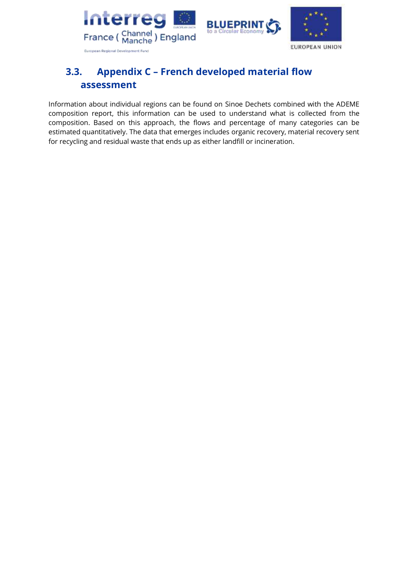

# <span id="page-35-0"></span>**3.3. Appendix C – French developed material flow assessment**

Information about individual regions can be found on Sinoe Dechets combined with the ADEME composition report, this information can be used to understand what is collected from the composition. Based on this approach, the flows and percentage of many categories can be estimated quantitatively. The data that emerges includes organic recovery, material recovery sent for recycling and residual waste that ends up as either landfill or incineration.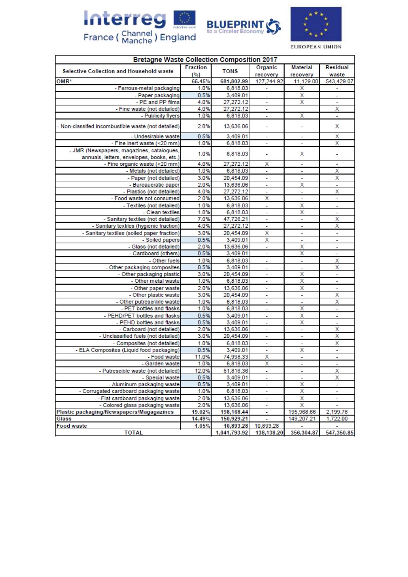



EUROPEAN UNION

| <b>Bretagne Waste Collection Composition 2017</b>  |                        |              |                          |                             |                          |  |  |
|----------------------------------------------------|------------------------|--------------|--------------------------|-----------------------------|--------------------------|--|--|
| <b>Selective Collection and Household waste</b>    | <b>Fraction</b><br>(%) | <b>TONS</b>  | Organic<br>recovery      | <b>Material</b><br>recovery | Residual<br>waste        |  |  |
| OMR*                                               | 65.45%                 | 681,802.99   | 127,244.92               | 11,129.00                   | 543,429.07               |  |  |
| - Ferrous-metal packaging                          | 1.0%                   | 6,818.03     |                          | х                           | ÷                        |  |  |
| - Paper packaging                                  | 0.5%                   | 3,409.01     | ÷,                       | X                           | ÷                        |  |  |
| - PE and PP films                                  | 4.0%                   | 27,272.12    | $\overline{\phantom{a}}$ | х                           | $\overline{\phantom{a}}$ |  |  |
| - Fine waste (not detailed)                        | 4.0%                   | 27,272.12    | ÷,                       |                             | $\overline{\mathsf{x}}$  |  |  |
| - Publicity flyers                                 | 1.0%                   | 6,818.03     | ÷,                       | Χ                           | ä,                       |  |  |
| - Non-classifed incombustible waste (not detailed) | 2.0%                   | 13,636.06    | ۰                        | ÷                           | х                        |  |  |
| - Undesirable waste                                | 0.5%                   | 3,409.01     | ÷,                       | $\overline{a}$              | х                        |  |  |
| - Fine inert waste (<20 mm)                        | 1.0%                   | 6,818.03     | $\mathbf{r}$             | $\blacksquare$              | $\overline{\mathsf{x}}$  |  |  |
| - JMR (Newspapers, magazines, catalogues,          | 1.0%                   | 6,818.03     | ٠                        | х                           | ٠                        |  |  |
| annuals, letters, envelopes, books, etc.)          |                        |              |                          |                             |                          |  |  |
| - Fine organic waste (<20 mm)                      | 4.0%                   | 27,272.12    | х                        | $\overline{\phantom{a}}$    | $\overline{\phantom{a}}$ |  |  |
| - Metals (not detailed)                            | 1.0%                   | 6,818.03     | ÷                        | ۰                           | Χ                        |  |  |
| - Paper (not detailed)                             | 3.0%                   | 20,454.09    | ۰                        | ÷                           | $\overline{\mathsf{x}}$  |  |  |
| - Bureaucratic paper                               | 2.0%                   | 13,636.06    | ÷,                       | Χ                           | $\mathbf{r}$             |  |  |
| - Plastics (not detailed)                          | 4.0%                   | 27,272.12    | ä,                       | ÷                           | $\overline{\mathsf{x}}$  |  |  |
| - Food waste not consumed                          | 2.0%                   | 13,636.06    | $\overline{\mathsf{x}}$  | ä,                          | ä,                       |  |  |
| - Textiles (not detailed)                          | 1.0%                   | 6,818.03     | ÷.                       | X                           | ÷,                       |  |  |
| - Clean textiles                                   | 1.0%                   | 6,818.03     | ÷,                       | Χ                           | ÷,                       |  |  |
| - Sanitary textiles (not detailed)                 | 7.0%                   | 47,726.21    | ä,                       | ÷,                          | X                        |  |  |
| - Sanitary textiles (hygienic fraction)            | 4.0%                   | 27,272.12    | $\overline{\phantom{a}}$ | ÷.                          | X                        |  |  |
| - Sanitary textiles (soiled paper fraction)        | 3.0%                   | 20,454.09    | х                        | ÷                           | ÷,                       |  |  |
| - Soiled papers                                    | 0.5%                   | 3,409.01     | X                        | ÷                           | ÷,                       |  |  |
| - Glass (not detailed)                             | 2.0%                   | 13,636.06    | ÷.                       | X                           | L,                       |  |  |
| - Cardboard (others)                               | 0.5%                   | 3,409.01     | ÷                        | X                           | ÷                        |  |  |
| - Other fuels                                      | 1.0%                   | 6,818.03     | ۰                        | ÷,                          | $\overline{\mathsf{x}}$  |  |  |
| - Other packaging composites                       | 0.5%                   | 3,409.01     | L,                       | L,                          | X                        |  |  |
| - Other packaging plastic                          | 3.0%                   | 20,454.09    | ۰                        | Χ                           | ÷                        |  |  |
| - Other metal waste                                | 1.0%                   | 6,818.03     | $\tilde{\phantom{a}}$    | Χ                           | $\overline{\phantom{a}}$ |  |  |
| - Other paper waste                                | 2.0%                   | 13,636.06    | ä,                       | X                           | ÷,                       |  |  |
| - Other plastic waste                              | 3.0%                   | 20,454.09    | ÷                        | ÷                           | X                        |  |  |
| - Other putrescrible waste                         | 1.0%                   | 6,818.03     | $\overline{\phantom{a}}$ | $\tilde{\phantom{a}}$       | $\overline{\mathsf{x}}$  |  |  |
| - PET bottles and flasks                           | 1.0%                   | 6,818.03     | ä,                       | Χ                           | ä,                       |  |  |
| - PEHD/PET bottles and flasks                      | 0.5%                   | 3,409.01     | ÷                        | X                           | ÷                        |  |  |
| - PEHD bottles and flasks                          | 0.5%                   | 3,409.01     | ÷                        | Χ                           | $\overline{\phantom{a}}$ |  |  |
| - Carboard (not detailed)                          | 2.0%                   | 13,636.06    | ÷.                       | ä,                          | $\overline{\mathsf{x}}$  |  |  |
| - Unclassified fuels (not detailed)                | 3.0%                   | 20,454.09    | Ξ                        | ÷                           | х                        |  |  |
| - Composites (not detailed)                        | 1.0%                   | 6,818.03     | ÷                        | ٠                           | X                        |  |  |
| - ELA Composites (Liquid food packaging)           | 0.5%                   | 3,409.01     | ÷,                       | Χ                           | ÷                        |  |  |
| - Food waste                                       | 11.0%                  | 74,998.33    | X                        | ÷                           | $\overline{\phantom{a}}$ |  |  |
| - Garden waste                                     | 1.0%                   | 6,818.03     | X                        |                             | ۰                        |  |  |
| - Putrescible waste (not detailed)                 | 12.0%                  | 81,816.36    | ٠                        |                             | х                        |  |  |
| - Special waste                                    | 0.5%                   | 3,409.01     | ٠                        | ٠                           | х                        |  |  |
| - Aluminum packaging waste                         | 0.5%                   | 3,409.01     |                          | Χ                           | ٠                        |  |  |
| - Corrugated cardboard packaging waste             | 1.0%                   | 6,818.03     |                          | х                           |                          |  |  |
| - Flat cardboard packaging waste                   | 2.0%                   | 13,636.06    | ٠                        | х                           | ۰                        |  |  |
| - Colored glass packaging waste                    | 2.0%                   | 13,636.06    | ۰                        | х                           | ٠                        |  |  |
| Plastic packaging/Newspapers/Magagazines           | 19.02%                 | 198,168.44   | ۰                        | 195,968.66                  | 2,199.78                 |  |  |
| Glass                                              | 14.49%                 | 150,929.21   | ۰                        | 149,207.21                  | 1,722.00                 |  |  |
| <b>Food waste</b>                                  | 1.05%                  | 10,893.28    | 10,893.28                | ÷                           |                          |  |  |
| <b>TOTAL</b>                                       |                        | 1.041.793.92 | 138.138.20               | 356.304.87                  | 547.350.85               |  |  |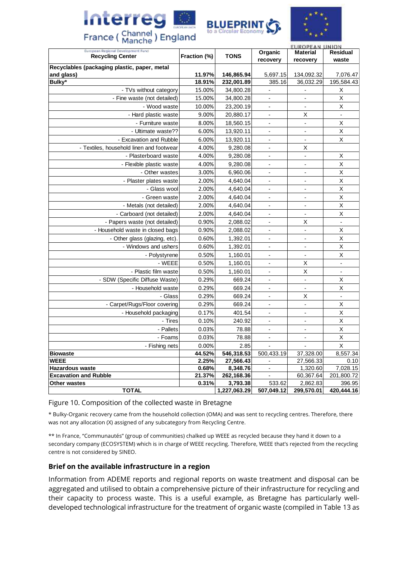



|                                                               |              |              |                          | EUROPEAN UNION           |                          |  |
|---------------------------------------------------------------|--------------|--------------|--------------------------|--------------------------|--------------------------|--|
| European Regional Development Fund<br><b>Recycling Center</b> | Fraction (%) | <b>TONS</b>  | Organic                  | <b>Material</b>          | <b>Residual</b>          |  |
|                                                               |              |              | recovery                 | recovery                 | waste                    |  |
| Recyclables (packaging plastic, paper, metal<br>and glass)    | 11.97%       | 146,865.94   | 5,697.15                 | 134,092.32               | 7,076.47                 |  |
| Bulky*                                                        | 18.91%       | 232,001.89   | 385.16                   | 36,032.29                | 195,584.43               |  |
| - TVs without category                                        | 15.00%       | 34,800.28    |                          |                          | Χ                        |  |
| - Fine waste (not detailed)                                   | 15.00%       | 34,800.28    | $\overline{\phantom{a}}$ | $\blacksquare$           | $\sf X$                  |  |
| - Wood waste                                                  | 10.00%       | 23,200.19    | $\overline{\phantom{a}}$ | $\overline{\phantom{a}}$ | $\sf X$                  |  |
| - Hard plastic waste                                          | 9.00%        | 20,880.17    | $\blacksquare$           | Χ                        | $\overline{\phantom{a}}$ |  |
| - Furniture waste                                             | 8.00%        | 18,560.15    | $\blacksquare$           | $\blacksquare$           | $\mathsf{X}$             |  |
| - Ultimate waste??                                            | 6.00%        | 13,920.11    | $\mathbf{r}$             | $\blacksquare$           | $\sf X$                  |  |
| - Excavation and Rubble                                       | 6.00%        | 13,920.11    | $\overline{\phantom{a}}$ | $\blacksquare$           | $\sf X$                  |  |
| - Textiles, household linen and footwear                      | 4.00%        | 9,280.08     | $\blacksquare$           | Χ                        |                          |  |
| - Plasterboard waste                                          | 4.00%        | 9,280.08     | $\blacksquare$           | $\overline{\phantom{a}}$ | Χ                        |  |
| - Flexible plastic waste                                      | 4.00%        | 9,280.08     | $\blacksquare$           | $\blacksquare$           | $\mathsf{X}$             |  |
| - Other wastes                                                | 3.00%        | 6,960.06     | $\blacksquare$           | $\blacksquare$           | $\sf X$                  |  |
| - Plaster plates waste                                        | 2.00%        | 4,640.04     | $\sim$                   | $\overline{\phantom{a}}$ | $\pmb{\times}$           |  |
| - Glass wool                                                  | 2.00%        | 4,640.04     | $\blacksquare$           | $\overline{a}$           | $\mathsf{X}$             |  |
| - Green waste                                                 | 2.00%        | 4,640.04     | $\overline{a}$           | $\overline{a}$           | $\mathsf{X}$             |  |
| - Metals (not detailed)                                       | 2.00%        | 4,640.04     | $\blacksquare$           | $\blacksquare$           | X                        |  |
| - Carboard (not detailed)                                     | 2.00%        | 4,640.04     | $\overline{a}$           | $\mathbf{r}$             | $\mathsf{X}$             |  |
| - Papers waste (not detailed)                                 | 0.90%        | 2,088.02     | $\blacksquare$           | Χ                        | $\overline{a}$           |  |
| - Household waste in closed bags                              | 0.90%        | 2,088.02     | $\overline{a}$           | $\overline{a}$           | X                        |  |
| - Other glass (glazing, etc).                                 | 0.60%        | 1,392.01     | $\blacksquare$           | $\blacksquare$           | $\sf X$                  |  |
| - Windows and ushers                                          | 0.60%        | 1,392.01     | $\overline{\phantom{a}}$ |                          | $\mathsf{X}$             |  |
| - Polystyrene                                                 | 0.50%        | 1,160.01     | $\blacksquare$           | $\blacksquare$           | $\overline{\mathsf{x}}$  |  |
| - WEEE                                                        | 0.50%        | 1,160.01     | $\overline{a}$           | $\mathsf{X}$             | $\overline{a}$           |  |
| - Plastic film waste                                          | 0.50%        | 1,160.01     | $\blacksquare$           | $\mathsf{X}$             | $\blacksquare$           |  |
| - SDW (Specific Diffuse Waste)                                | 0.29%        | 669.24       | $\overline{\phantom{a}}$ | $\blacksquare$           | $\sf X$                  |  |
| - Household waste                                             | 0.29%        | 669.24       | $\blacksquare$           | $\blacksquare$           | $\mathsf{X}$             |  |
| - Glass                                                       | 0.29%        | 669.24       | $\overline{a}$           | X                        | $\overline{a}$           |  |
| - Carpet/Rugs/Floor covering                                  | 0.29%        | 669.24       | $\blacksquare$           | $\blacksquare$           | $\mathsf{X}$             |  |
| - Household packaging                                         | 0.17%        | 401.54       | $\blacksquare$           | $\overline{a}$           | $\sf X$                  |  |
| - Tires                                                       | 0.10%        | 240.92       | $\blacksquare$           | $\blacksquare$           | $\overline{\mathsf{x}}$  |  |
| - Pallets                                                     | 0.03%        | 78.88        | $\sim$                   | $\overline{a}$           | $\mathsf{X}$             |  |
| - Foams                                                       | 0.03%        | 78.88        | $\blacksquare$           | $\blacksquare$           | $\mathsf X$              |  |
| - Fishing nets                                                | 0.00%        | 2.85         |                          | ÷,                       | $\mathsf{X}$             |  |
| <b>Biowaste</b>                                               | 44.52%       | 546,318.53   | 500,433.19               | 37,328.00                | 8,557.34                 |  |
| <b>WEEE</b>                                                   | 2.25%        | 27,566.43    | $\blacksquare$           | 27,566.33                | 0.10                     |  |
| <b>Hazardous waste</b>                                        | 0.68%        | 8,348.76     | $\blacksquare$           | 1,320.60                 | 7,028.15                 |  |
| <b>Excavation and Rubble</b>                                  | 21.37%       | 262,168.36   | $\mathbf{r}$             | 60,367.64                | 201,800.72               |  |
| Other wastes                                                  | 0.31%        | 3,793.38     | 533.62                   | 2,862.83                 | 396.95                   |  |
| <b>TOTAL</b>                                                  |              | 1,227,063.29 | 507,049.12               | 299,570.01               | 420,444.16               |  |

Figure 10. Composition of the collected waste in Bretagne

Interreg

France (Channel) England

\* Bulky-Organic recovery came from the household collection (OMA) and was sent to recycling centres. Therefore, there was not any allocation (X) assigned of any subcategory from Recycling Centre.

\*\* In France, "Communautés" (group of communities) chalked up WEEE as recycled because they hand it down to a secondary company (ECOSYSTEM) which is in charge of WEEE recycling. Therefore, WEEE that's rejected from the recycling centre is not considered by SINEO.

### **Brief on the available infrastructure in a region**

Information from ADEME reports and regional reports on waste treatment and disposal can be aggregated and utilised to obtain a comprehensive picture of their infrastructure for recycling and their capacity to process waste. This is a useful example, as Bretagne has particularly welldeveloped technological infrastructure for the treatment of organic waste (compiled in Table 13 as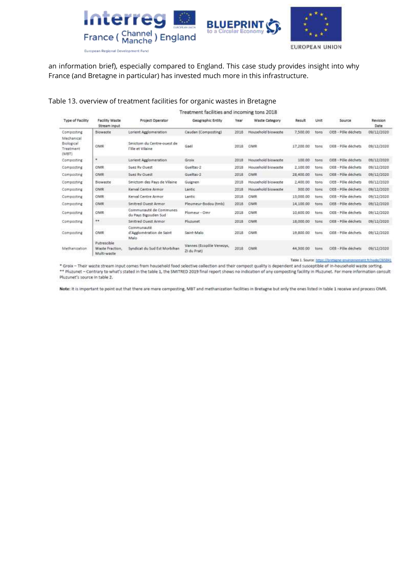



an information brief), especially compared to England. This case study provides insight into why France (and Bretagne in particular) has invested much more in this infrastructure.

### Table 13. overview of treatment facilities for organic wastes in Bretagne

| Treatment facilities and incoming tons 2018           |                                              |                                                 |                                         |      |                    |           |      |                     |                  |
|-------------------------------------------------------|----------------------------------------------|-------------------------------------------------|-----------------------------------------|------|--------------------|-----------|------|---------------------|------------------|
| Type of Facility                                      | Facility Waste<br>Stream input               | <b>Project Operator</b>                         | Geographic Entity                       | Year | Waste Category     | Result    | Unit | 100617-02<br>Source | Revision<br>Date |
| Composting                                            | <b>Blowaste</b>                              | Lorient Agglomeration                           | Caudan (Composting)                     | 2018 | Household blowaste | 7,500.00  | tons | OEB - Pôle déchets  | 09/12/2020       |
| Mechanical<br><b>Biological</b><br>Treatment<br>(MST) | OMR                                          | Smictom du Centre-ouest de<br>l'Ille et Vilaine | Gael                                    | 2018 | OMR                | 17,200.00 | tons | OEB - Pôle déchets  | 09/12/2020       |
| Composting                                            | ٠                                            | Lorient Agglomeration                           | Grotx.                                  | 2018 | Household biowaste | 100.00    | tons | OEB - Pôle déchets  | 09/12/2020       |
| Composting                                            | OMR                                          | Suez Ry Ouest                                   | Gueltas-2                               | 2018 | Household blowaste | 2,100.00  | tons | OEB - Pôle déchets  | 09/12/2020       |
| Composting                                            | OMR                                          | Suez Ry Ouest                                   | Gueltas-2                               | 2018 | OMR                | 28,400.00 | tons | OEB - Pôle déchets  | 09/12/2020       |
| Composting                                            | Biowaste                                     | Smictom des Pays de Vilaine                     | Guignen                                 | 2018 | Household biowaste | 2.400.00  | tons | OEB - Pôle déchets  | 09/12/2020       |
| Composting                                            | OMR                                          | Kerval Centre Armor                             | Lantic                                  | 2018 | Household biowaste | 300.00    | tons | OEB - Pôle dechets  | 09/12/2020       |
| Composting                                            | <b>OMR</b>                                   | Kerval Centre Armor                             | Lantic                                  | 2018 | OMR                | 13,000.00 | tons | OEB - Pôle dechets  | 09/12/2020       |
| Composting                                            | OMR                                          | Smitred Quest Armor                             | Pleumeur-Bodou (tmb)                    | 2018 | <b>OMR</b>         | 14,100.00 | tons | OEB - Pôle dechets  | 09/12/2020       |
| Composting                                            | OMR                                          | Communauté de Communes<br>du Pays Bigouden Sud  | Plomeur - Omr                           | 2018 | OMR                | 10 600.00 | tons | OEB - Pôle déchets  | 09/12/2020       |
| Composting                                            | $\cdots$                                     | <b>Smitred Ouest Armor</b>                      | Pluzunet                                | 2018 | <b>OMR</b>         | 18,000.00 | tons | OEB - Pôle dechets  | 09/12/2020       |
| Composting                                            | OMR                                          | Communauté<br>d'Agglomération de Saint<br>Malo  | Saint-Malo                              | 2018 | <b>OMR</b>         | 19,800.00 | tons | OEB - Pôle déchets  | 09/12/2020       |
| Methanization                                         | Putrescible<br>Waste Fraction<br>Multi-waste | Syndicat du Sud Est Morbihan                    | Vannes (Ecopóle Venezys,<br>ZI du Prati | 2018 | OMR.               | 44,300.00 | tons | OEB - Pôle déchets  | 09/12/2020       |

Table 1. Source: https://bretagne-environnement.fr/node/265841

\* Groix - Their waste stream input comes from household food selective collection and their compost quality is dependent and susceptible of in-household waste sorting. \*\* Pluzunet - Contrary to what's stated in the table 1, the SMITRED 2019 final report shows no indication of any composting facility in Pluzunet. For more information consult Pluzunet's source in table 2.

Note: It is important to point out that there are more composting, MBT and methanization facilities in Bretagne but only the ones listed in table 1 receive and process OMR.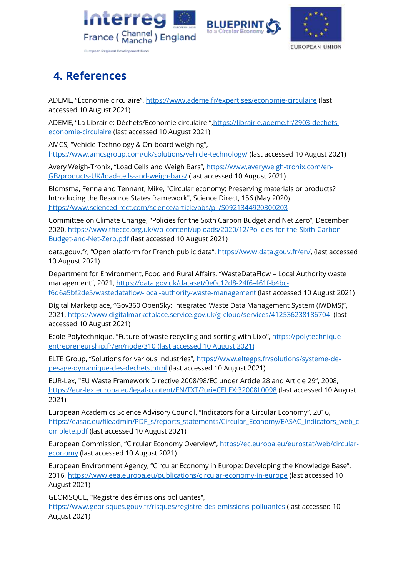





# <span id="page-39-0"></span>**4. References**

ADEME, "Économie circulaire", <https://www.ademe.fr/expertises/economie-circulaire> (last accessed 10 August 2021)

ADEME, "La Librairie: Déchets/Economie circulaire ",[https://librairie.ademe.fr/2903-dechets](https://librairie.ademe.fr/2903-dechets-economie-circulaire)[economie-circulaire](https://librairie.ademe.fr/2903-dechets-economie-circulaire) (last accessed 10 August 2021)

AMCS, "Vehicle Technology & On-board weighing", <https://www.amcsgroup.com/uk/solutions/vehicle-technology/> (last accessed 10 August 2021)

Avery Weigh-Tronix, "Load Cells and Weigh Bars", [https://www.averyweigh-tronix.com/en-](https://www.averyweigh-tronix.com/en-GB/products-UK/load-cells-and-weigh-bars/)[GB/products-UK/load-cells-and-weigh-bars/](https://www.averyweigh-tronix.com/en-GB/products-UK/load-cells-and-weigh-bars/) (last accessed 10 August 2021)

Blomsma, Fenna and Tennant, Mike, "Circular economy: Preserving materials or products? Introducing the Resource States framework", Science Direct, 156 (May 2020) <https://www.sciencedirect.com/science/article/abs/pii/S0921344920300203>

Committee on Climate Change, "Policies for the Sixth Carbon Budget and Net Zero", December 2020, [https://www.theccc.org.uk/wp-content/uploads/2020/12/Policies-for-the-Sixth-Carbon-](https://www.theccc.org.uk/wp-content/uploads/2020/12/Policies-for-the-Sixth-Carbon-Budget-and-Net-Zero.pdf)[Budget-and-Net-Zero.pdf](https://www.theccc.org.uk/wp-content/uploads/2020/12/Policies-for-the-Sixth-Carbon-Budget-and-Net-Zero.pdf) (last accessed 10 August 2021)

data.gouv.fr, "Open platform for French public data", [https://www.data.gouv.fr/en/,](https://www.data.gouv.fr/en/) (last accessed 10 August 2021)

Department for Environment, Food and Rural Affairs, "WasteDataFlow – Local Authority waste management", 2021, [https://data.gov.uk/dataset/0e0c12d8-24f6-461f-b4bc](https://data.gov.uk/dataset/0e0c12d8-24f6-461f-b4bc-f6d6a5bf2de5/wastedataflow-local-authority-waste-management)[f6d6a5bf2de5/wastedataflow-local-authority-waste-management](https://data.gov.uk/dataset/0e0c12d8-24f6-461f-b4bc-f6d6a5bf2de5/wastedataflow-local-authority-waste-management) (last accessed 10 August 2021)

Digital Marketplace, "Gov360 OpenSky: Integrated Waste Data Management System (iWDMS)", 2021,<https://www.digitalmarketplace.service.gov.uk/g-cloud/services/412536238186704>(last accessed 10 August 2021)

Ecole Polytechnique, "Future of waste recycling and sorting with Lixo", [https://polytechnique](https://polytechnique-entrepreneurship.fr/en/node/310)[entrepreneurship.fr/en/node/310](https://polytechnique-entrepreneurship.fr/en/node/310) (last accessed 10 August 2021)

ELTE Group, "Solutions for various industries", [https://www.eltegps.fr/solutions/systeme-de](https://www.eltegps.fr/solutions/systeme-de-pesage-dynamique-des-dechets.html)[pesage-dynamique-des-dechets.html](https://www.eltegps.fr/solutions/systeme-de-pesage-dynamique-des-dechets.html) (last accessed 10 August 2021)

EUR-Lex, "EU Waste Framework Directive 2008/98/EC under Article 28 and Article 29", 2008, <https://eur-lex.europa.eu/legal-content/EN/TXT/?uri=CELEX:32008L0098> (last accessed 10 August 2021)

European Academics Science Advisory Council, "Indicators for a Circular Economy", 2016, [https://easac.eu/fileadmin/PDF\\_s/reports\\_statements/Circular\\_Economy/EASAC\\_Indicators\\_web\\_c](https://easac.eu/fileadmin/PDF_s/reports_statements/Circular_Economy/EASAC_Indicators_web_complete.pdf) [omplete.pdf](https://easac.eu/fileadmin/PDF_s/reports_statements/Circular_Economy/EASAC_Indicators_web_complete.pdf) (last accessed 10 August 2021)

European Commission, "Circular Economy Overview", [https://ec.europa.eu/eurostat/web/circular](https://ec.europa.eu/eurostat/web/circular-economy)[economy](https://ec.europa.eu/eurostat/web/circular-economy) (last accessed 10 August 2021)

European Environment Agency, "Circular Economy in Europe: Developing the Knowledge Base", 2016,<https://www.eea.europa.eu/publications/circular-economy-in-europe> (last accessed 10 August 2021)

GEORISQUE, "Registre des émissions polluantes",

<https://www.georisques.gouv.fr/risques/registre-des-emissions-polluantes> (last accessed 10 August 2021)